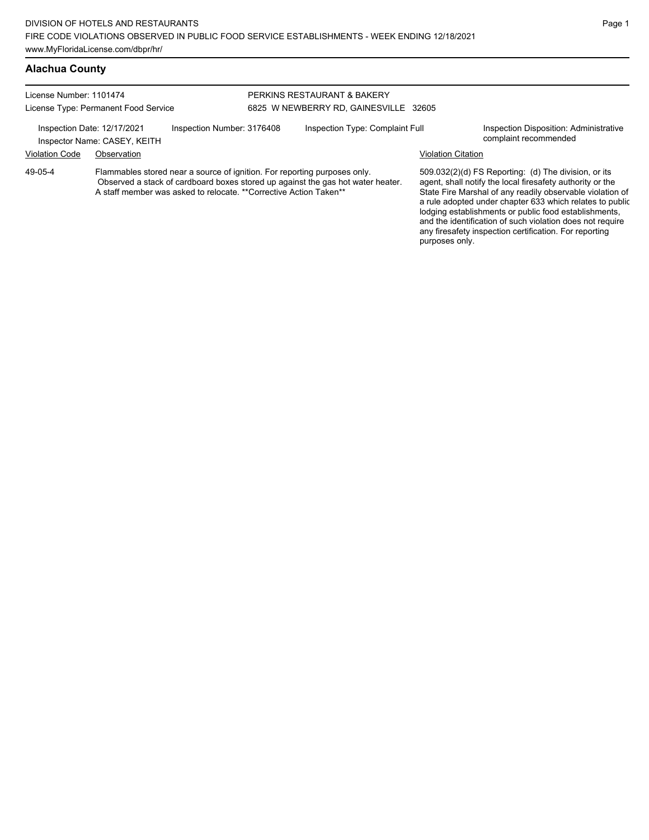## **Alachua County**

| License Number: 1101474                                                                                                                                                                                                                      | License Type: Permanent Food Service                        |                            | PERKINS RESTAURANT & BAKERY<br>6825 W NEWBERRY RD, GAINESVILLE 32605 |                                                                                                                                                                                |                                                                 |
|----------------------------------------------------------------------------------------------------------------------------------------------------------------------------------------------------------------------------------------------|-------------------------------------------------------------|----------------------------|----------------------------------------------------------------------|--------------------------------------------------------------------------------------------------------------------------------------------------------------------------------|-----------------------------------------------------------------|
|                                                                                                                                                                                                                                              | Inspection Date: 12/17/2021<br>Inspector Name: CASEY, KEITH | Inspection Number: 3176408 | Inspection Type: Complaint Full                                      |                                                                                                                                                                                | Inspection Disposition: Administrative<br>complaint recommended |
| <b>Violation Code</b>                                                                                                                                                                                                                        | Observation                                                 |                            |                                                                      | Violation Citation                                                                                                                                                             |                                                                 |
| Flammables stored near a source of ignition. For reporting purposes only.<br>49-05-4<br>Observed a stack of cardboard boxes stored up against the gas hot water heater.<br>A staff member was asked to relocate. **Corrective Action Taken** |                                                             |                            |                                                                      | 509.032(2)(d) FS Reporting: (d) The division, or its<br>agent, shall notify the local firesafety authority or the<br>State Fire Marshal of any readily observable violation of |                                                                 |

State Fire Marshal of any readily observable vio a rule adopted under chapter 633 which relates to public lodging establishments or public food establishments, and the identification of such violation does not require any firesafety inspection certification. For reporting purposes only.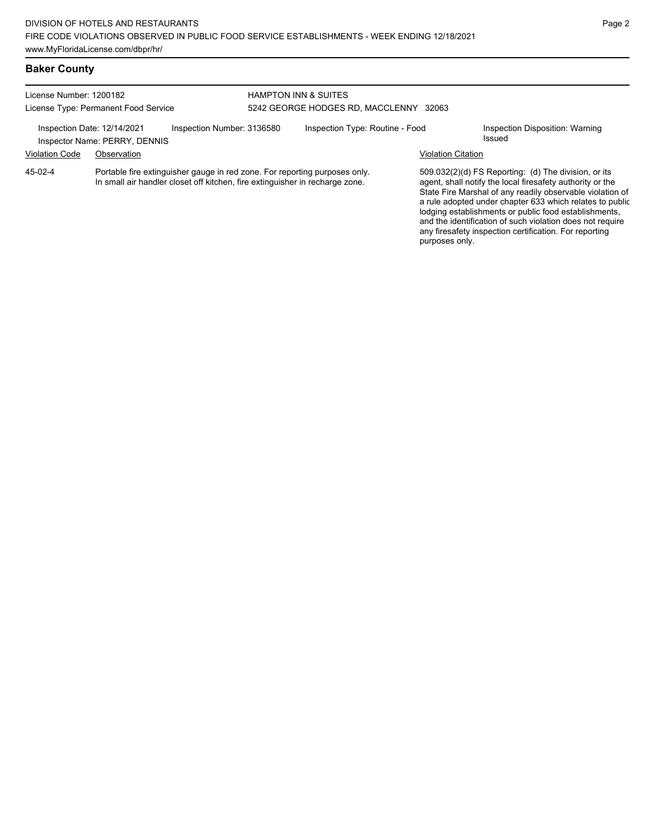### **Baker County**

| License Number: 1200182 | License Type: Permanent Food Service                         |                                                                                                                                                            | <b>HAMPTON INN &amp; SUITES</b><br>5242 GEORGE HODGES RD, MACCLENNY 32063 |                           |                                                                                                                                                                                                                                            |
|-------------------------|--------------------------------------------------------------|------------------------------------------------------------------------------------------------------------------------------------------------------------|---------------------------------------------------------------------------|---------------------------|--------------------------------------------------------------------------------------------------------------------------------------------------------------------------------------------------------------------------------------------|
|                         | Inspection Date: 12/14/2021<br>Inspector Name: PERRY, DENNIS | Inspection Number: 3136580                                                                                                                                 | Inspection Type: Routine - Food                                           |                           | Inspection Disposition: Warning<br>Issued                                                                                                                                                                                                  |
| <b>Violation Code</b>   | Observation                                                  |                                                                                                                                                            |                                                                           | <b>Violation Citation</b> |                                                                                                                                                                                                                                            |
| 45-02-4                 |                                                              | Portable fire extinguisher gauge in red zone. For reporting purposes only.<br>In small air handler closet off kitchen, fire extinguisher in recharge zone. |                                                                           |                           | 509.032(2)(d) FS Reporting: (d) The division, or its<br>agent, shall notify the local firesafety authority or the<br>State Fire Marshal of any readily observable violation of<br>a rule adopted under chapter 633 which relates to public |

a rule adopted under chapter 633 which relates to public lodging establishments or public food establishments, and the identification of such violation does not require any firesafety inspection certification. For reporting purposes only.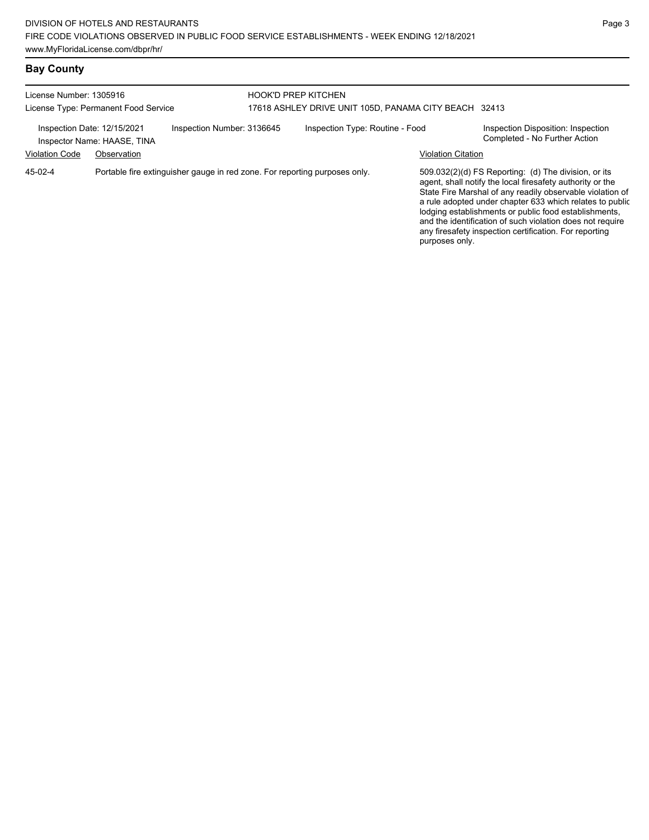## **Bay County**

| License Number: 1305916                              | License Type: Permanent Food Service                                       | <b>HOOK'D PREP KITCHEN</b> | 17618 ASHLEY DRIVE UNIT 105D, PANAMA CITY BEACH 32413        |                                                                                                                                                                                                                                                                                                                                                                                                                            |
|------------------------------------------------------|----------------------------------------------------------------------------|----------------------------|--------------------------------------------------------------|----------------------------------------------------------------------------------------------------------------------------------------------------------------------------------------------------------------------------------------------------------------------------------------------------------------------------------------------------------------------------------------------------------------------------|
| Inspection Date: 12/15/2021<br><b>Violation Code</b> | Inspection Number: 3136645<br>Inspector Name: HAASE, TINA<br>Observation   |                            | Inspection Type: Routine - Food<br><b>Violation Citation</b> | Inspection Disposition: Inspection<br>Completed - No Further Action                                                                                                                                                                                                                                                                                                                                                        |
| 45-02-4                                              | Portable fire extinguisher gauge in red zone. For reporting purposes only. |                            | purposes only.                                               | 509.032(2)(d) FS Reporting: (d) The division, or its<br>agent, shall notify the local firesafety authority or the<br>State Fire Marshal of any readily observable violation of<br>a rule adopted under chapter 633 which relates to public<br>lodging establishments or public food establishments,<br>and the identification of such violation does not require<br>any firesafety inspection certification. For reporting |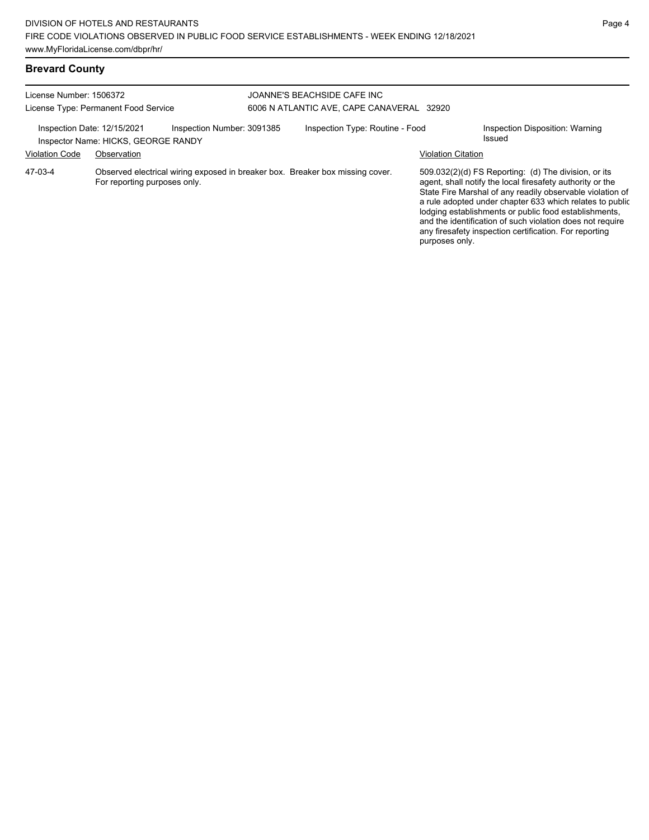## **Brevard County**

| License Number: 1506372     | License Type: Permanent Food Service |                            | JOANNE'S BEACHSIDE CAFE INC<br>6006 N ATLANTIC AVE, CAPE CANAVERAL 32920      |                           |                                                                                                                                                                                                                                                                                                                                                                                                                            |
|-----------------------------|--------------------------------------|----------------------------|-------------------------------------------------------------------------------|---------------------------|----------------------------------------------------------------------------------------------------------------------------------------------------------------------------------------------------------------------------------------------------------------------------------------------------------------------------------------------------------------------------------------------------------------------------|
| Inspection Date: 12/15/2021 | Inspector Name: HICKS, GEORGE RANDY  | Inspection Number: 3091385 | Inspection Type: Routine - Food                                               |                           | Inspection Disposition: Warning<br>Issued                                                                                                                                                                                                                                                                                                                                                                                  |
| <b>Violation Code</b>       | Observation                          |                            |                                                                               | <b>Violation Citation</b> |                                                                                                                                                                                                                                                                                                                                                                                                                            |
| 47-03-4                     | For reporting purposes only.         |                            | Observed electrical wiring exposed in breaker box. Breaker box missing cover. | purposes only.            | 509.032(2)(d) FS Reporting: (d) The division, or its<br>agent, shall notify the local firesafety authority or the<br>State Fire Marshal of any readily observable violation of<br>a rule adopted under chapter 633 which relates to public<br>lodging establishments or public food establishments,<br>and the identification of such violation does not require<br>any firesafety inspection certification. For reporting |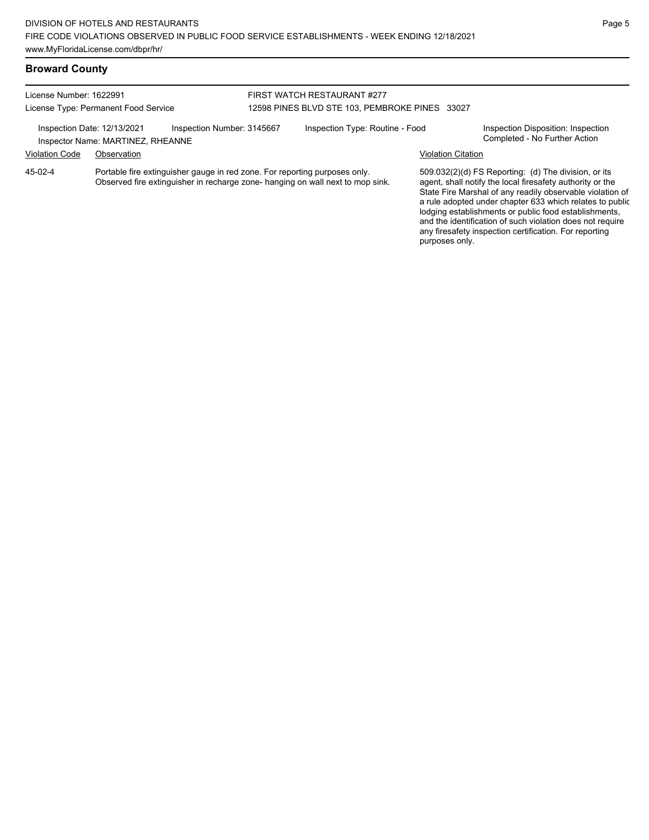### **Broward County**

| License Number: 1622991     | License Type: Permanent Food Service                                       | FIRST WATCH RESTAURANT #277<br>12598 PINES BLVD STE 103, PEMBROKE PINES 33027 |                           |                                                                     |
|-----------------------------|----------------------------------------------------------------------------|-------------------------------------------------------------------------------|---------------------------|---------------------------------------------------------------------|
| Inspection Date: 12/13/2021 | Inspection Number: 3145667<br>Inspector Name: MARTINEZ, RHEANNE            | Inspection Type: Routine - Food                                               |                           | Inspection Disposition: Inspection<br>Completed - No Further Action |
| <b>Violation Code</b>       | Observation                                                                |                                                                               | <b>Violation Citation</b> |                                                                     |
| 45-02-4                     | Portable fire extinguisher gauge in red zone. For reporting purposes only. |                                                                               |                           | 509.032(2)(d) FS Reporting: (d) The division, or its                |

Portable fire extinguisher gauge in red zone. For reporting purposes only. Observed fire extinguisher in recharge zone- hanging on wall next to mop sink. 509.032(2)(d) FS Reporting: (d) The division, or its agent, shall notify the local firesafety authority or the State Fire Marshal of any readily observable violation of a rule adopted under chapter 633 which relates to public lodging establishments or public food establishments, and the identification of such violation does not require any firesafety inspection certification. For reporting purposes only.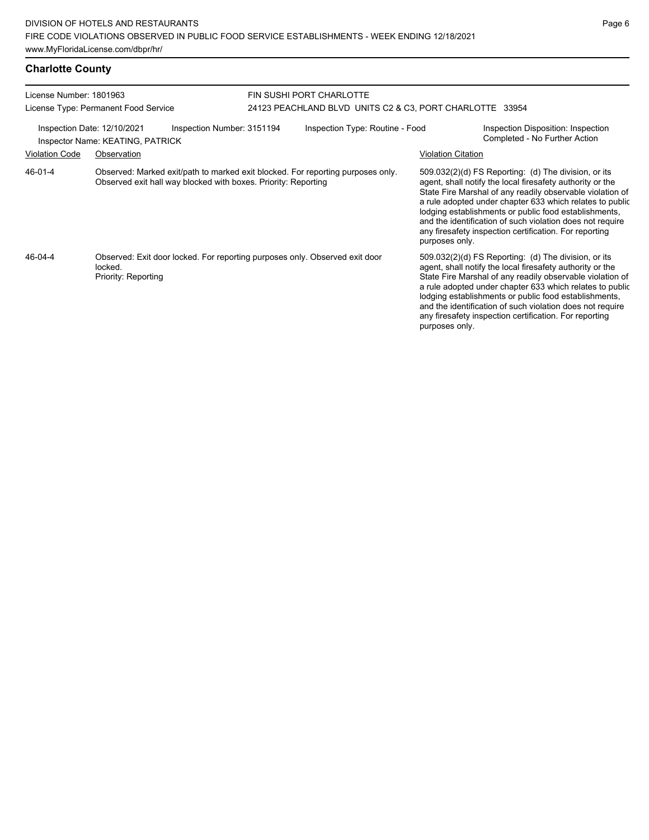| License Number: 1801963<br>License Type: Permanent Food Service |                                                 | FIN SUSHI PORT CHARLOTTE<br>24123 PEACHLAND BLVD UNITS C2 & C3, PORT CHARLOTTE 33954 |  |                                                                                 |                           |                                                                                                                                                                                                                                                                                                                                                                                                                              |
|-----------------------------------------------------------------|-------------------------------------------------|--------------------------------------------------------------------------------------|--|---------------------------------------------------------------------------------|---------------------------|------------------------------------------------------------------------------------------------------------------------------------------------------------------------------------------------------------------------------------------------------------------------------------------------------------------------------------------------------------------------------------------------------------------------------|
| Inspection Date: 12/10/2021<br><b>Violation Code</b>            | Inspector Name: KEATING, PATRICK<br>Observation | Inspection Number: 3151194                                                           |  | Inspection Type: Routine - Food                                                 | <b>Violation Citation</b> | Inspection Disposition: Inspection<br>Completed - No Further Action                                                                                                                                                                                                                                                                                                                                                          |
| 46-01-4                                                         |                                                 | Observed exit hall way blocked with boxes. Priority: Reporting                       |  | Observed: Marked exit/path to marked exit blocked. For reporting purposes only. | purposes only.            | $509.032(2)(d)$ FS Reporting: (d) The division, or its<br>agent, shall notify the local firesafety authority or the<br>State Fire Marshal of any readily observable violation of<br>a rule adopted under chapter 633 which relates to public<br>lodging establishments or public food establishments,<br>and the identification of such violation does not require<br>any firesafety inspection certification. For reporting |
| 46-04-4                                                         | locked.<br>Priority: Reporting                  |                                                                                      |  | Observed: Exit door locked. For reporting purposes only. Observed exit door     | purposes only.            | $509.032(2)(d)$ FS Reporting: (d) The division, or its<br>agent, shall notify the local firesafety authority or the<br>State Fire Marshal of any readily observable violation of<br>a rule adopted under chapter 633 which relates to public<br>lodging establishments or public food establishments,<br>and the identification of such violation does not require<br>any firesafety inspection certification. For reporting |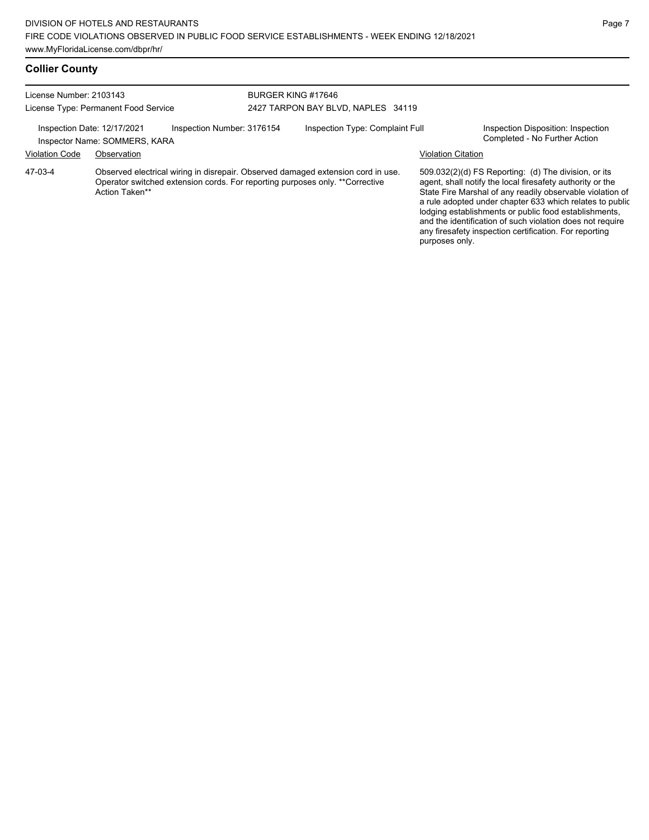## **Collier County**

| License Number: 2103143              |                                                              |                                    | BURGER KING #17646 |                                                                                                                                                                   |                           |                                                                                                                                                                                                                                                                                         |
|--------------------------------------|--------------------------------------------------------------|------------------------------------|--------------------|-------------------------------------------------------------------------------------------------------------------------------------------------------------------|---------------------------|-----------------------------------------------------------------------------------------------------------------------------------------------------------------------------------------------------------------------------------------------------------------------------------------|
| License Type: Permanent Food Service |                                                              | 2427 TARPON BAY BLVD, NAPLES 34119 |                    |                                                                                                                                                                   |                           |                                                                                                                                                                                                                                                                                         |
|                                      | Inspection Date: 12/17/2021<br>Inspector Name: SOMMERS, KARA | Inspection Number: 3176154         |                    | Inspection Type: Complaint Full                                                                                                                                   |                           | Inspection Disposition: Inspection<br>Completed - No Further Action                                                                                                                                                                                                                     |
| <b>Violation Code</b>                | Observation                                                  |                                    |                    |                                                                                                                                                                   | <b>Violation Citation</b> |                                                                                                                                                                                                                                                                                         |
| 47-03-4                              | Action Taken**                                               |                                    |                    | Observed electrical wiring in disrepair. Observed damaged extension cord in use.<br>Operator switched extension cords. For reporting purposes only. ** Corrective |                           | 509.032(2)(d) FS Reporting: (d) The division, or its<br>agent, shall notify the local firesafety authority or the<br>State Fire Marshal of any readily observable violation of<br>to contract the state of a contract the contract AAA contributions from a market that the contract of |

State Fire Marshal of any readily observable violation of a rule adopted under chapter 633 which relates to public lodging establishments or public food establishments, and the identification of such violation does not require any firesafety inspection certification. For reporting purposes only.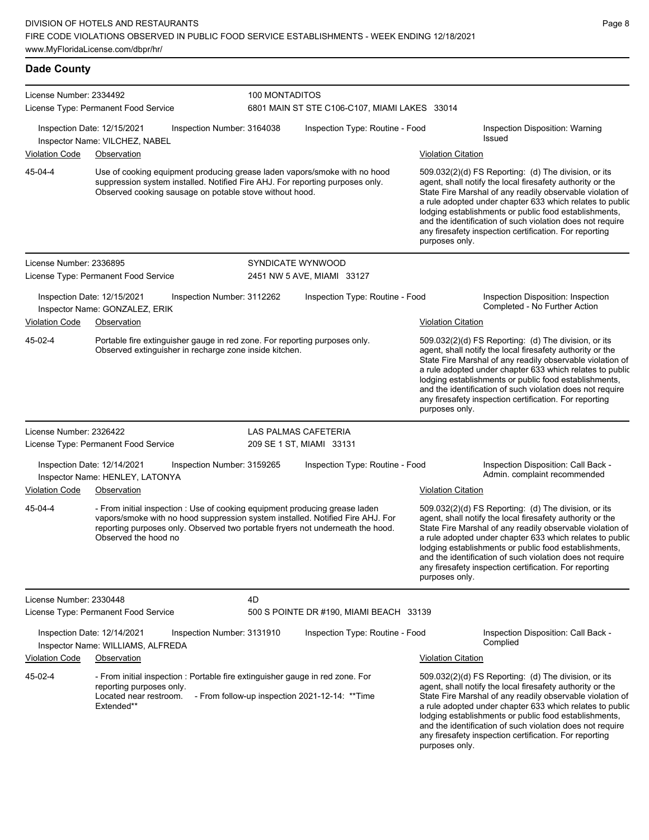**Dade County**

| License Number: 2334492 |                                                                                                                                                                                                                                                                         | 100 MONTADITOS             |                                                |                           |                                                                                                                                                                                                                                                                                                                                                                                                                            |  |
|-------------------------|-------------------------------------------------------------------------------------------------------------------------------------------------------------------------------------------------------------------------------------------------------------------------|----------------------------|------------------------------------------------|---------------------------|----------------------------------------------------------------------------------------------------------------------------------------------------------------------------------------------------------------------------------------------------------------------------------------------------------------------------------------------------------------------------------------------------------------------------|--|
|                         | License Type: Permanent Food Service                                                                                                                                                                                                                                    |                            | 6801 MAIN ST STE C106-C107, MIAMI LAKES 33014  |                           |                                                                                                                                                                                                                                                                                                                                                                                                                            |  |
|                         | Inspection Date: 12/15/2021<br>Inspector Name: VILCHEZ, NABEL                                                                                                                                                                                                           | Inspection Number: 3164038 | Inspection Type: Routine - Food                |                           | Inspection Disposition: Warning<br>Issued                                                                                                                                                                                                                                                                                                                                                                                  |  |
| <b>Violation Code</b>   | Observation                                                                                                                                                                                                                                                             |                            |                                                | <b>Violation Citation</b> |                                                                                                                                                                                                                                                                                                                                                                                                                            |  |
| 45-04-4                 | Use of cooking equipment producing grease laden vapors/smoke with no hood<br>suppression system installed. Notified Fire AHJ. For reporting purposes only.<br>Observed cooking sausage on potable stove without hood.                                                   |                            |                                                | purposes only.            | 509.032(2)(d) FS Reporting: (d) The division, or its<br>agent, shall notify the local firesafety authority or the<br>State Fire Marshal of any readily observable violation of<br>a rule adopted under chapter 633 which relates to public<br>lodging establishments or public food establishments,<br>and the identification of such violation does not require<br>any firesafety inspection certification. For reporting |  |
| License Number: 2336895 |                                                                                                                                                                                                                                                                         |                            | SYNDICATE WYNWOOD                              |                           |                                                                                                                                                                                                                                                                                                                                                                                                                            |  |
|                         | License Type: Permanent Food Service                                                                                                                                                                                                                                    |                            | 2451 NW 5 AVE, MIAMI 33127                     |                           |                                                                                                                                                                                                                                                                                                                                                                                                                            |  |
|                         | Inspection Date: 12/15/2021<br>Inspector Name: GONZALEZ, ERIK                                                                                                                                                                                                           | Inspection Number: 3112262 | Inspection Type: Routine - Food                |                           | Inspection Disposition: Inspection<br>Completed - No Further Action                                                                                                                                                                                                                                                                                                                                                        |  |
| <b>Violation Code</b>   | Observation                                                                                                                                                                                                                                                             |                            |                                                | <b>Violation Citation</b> |                                                                                                                                                                                                                                                                                                                                                                                                                            |  |
| 45-02-4                 | Portable fire extinguisher gauge in red zone. For reporting purposes only.<br>Observed extinguisher in recharge zone inside kitchen.                                                                                                                                    |                            |                                                | purposes only.            | 509.032(2)(d) FS Reporting: (d) The division, or its<br>agent, shall notify the local firesafety authority or the<br>State Fire Marshal of any readily observable violation of<br>a rule adopted under chapter 633 which relates to public<br>lodging establishments or public food establishments,<br>and the identification of such violation does not require<br>any firesafety inspection certification. For reporting |  |
| License Number: 2326422 |                                                                                                                                                                                                                                                                         |                            | LAS PALMAS CAFETERIA                           |                           |                                                                                                                                                                                                                                                                                                                                                                                                                            |  |
|                         | License Type: Permanent Food Service                                                                                                                                                                                                                                    |                            | 209 SE 1 ST, MIAMI 33131                       |                           |                                                                                                                                                                                                                                                                                                                                                                                                                            |  |
|                         | Inspection Date: 12/14/2021<br>Inspector Name: HENLEY, LATONYA                                                                                                                                                                                                          | Inspection Number: 3159265 | Inspection Type: Routine - Food                |                           | Inspection Disposition: Call Back -<br>Admin. complaint recommended                                                                                                                                                                                                                                                                                                                                                        |  |
| <b>Violation Code</b>   | Observation                                                                                                                                                                                                                                                             |                            |                                                | <b>Violation Citation</b> |                                                                                                                                                                                                                                                                                                                                                                                                                            |  |
| 45-04-4                 | - From initial inspection : Use of cooking equipment producing grease laden<br>vapors/smoke with no hood suppression system installed. Notified Fire AHJ. For<br>reporting purposes only. Observed two portable fryers not underneath the hood.<br>Observed the hood no |                            |                                                | purposes only.            | 509.032(2)(d) FS Reporting: (d) The division, or its<br>agent, shall notify the local firesafety authority or the<br>State Fire Marshal of any readily observable violation of<br>a rule adopted under chapter 633 which relates to public<br>lodging establishments or public food establishments,<br>and the identification of such violation does not require<br>any firesafety inspection certification. For reporting |  |
| License Number: 2330448 |                                                                                                                                                                                                                                                                         | 4D                         |                                                |                           |                                                                                                                                                                                                                                                                                                                                                                                                                            |  |
|                         | License Type: Permanent Food Service                                                                                                                                                                                                                                    |                            | 500 S POINTE DR #190, MIAMI BEACH 33139        |                           |                                                                                                                                                                                                                                                                                                                                                                                                                            |  |
|                         | Inspection Date: 12/14/2021<br>Inspector Name: WILLIAMS, ALFREDA                                                                                                                                                                                                        | Inspection Number: 3131910 | Inspection Type: Routine - Food                |                           | Inspection Disposition: Call Back -<br>Complied                                                                                                                                                                                                                                                                                                                                                                            |  |
| <b>Violation Code</b>   | Observation                                                                                                                                                                                                                                                             |                            |                                                | <b>Violation Citation</b> |                                                                                                                                                                                                                                                                                                                                                                                                                            |  |
| 45-02-4                 | - From initial inspection : Portable fire extinguisher gauge in red zone. For<br>reporting purposes only.<br>Located near restroom.<br>Extended**                                                                                                                       |                            | - From follow-up inspection 2021-12-14: **Time | purposes only.            | 509.032(2)(d) FS Reporting: (d) The division, or its<br>agent, shall notify the local firesafety authority or the<br>State Fire Marshal of any readily observable violation of<br>a rule adopted under chapter 633 which relates to public<br>lodging establishments or public food establishments,<br>and the identification of such violation does not require<br>any firesafety inspection certification. For reporting |  |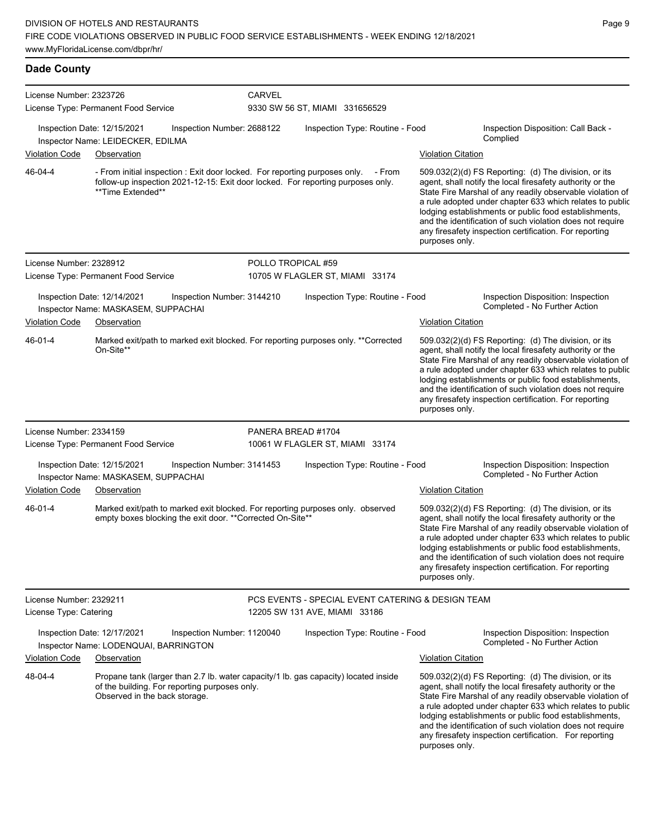**Dade County** License Number: 2323726 License Type: Permanent Food Service **CARVEL** 9330 SW 56 ST, MIAMI 331656529 Inspection Date: 12/15/2021 Inspection Number: 2688122 Inspection Type: Routine - Food Inspection Disposition: Call Back - Complied Inspector Name: LEIDECKER, EDILMA Violation Code Observation Violation Citation - From initial inspection : Exit door locked. For reporting purposes only. - From follow-up inspection 2021-12-15: Exit door locked. For reporting purposes only. \*\*Time Extended\*\* 509.032(2)(d) FS Reporting: (d) The division, or its agent, shall notify the local firesafety authority or the State Fire Marshal of any readily observable violation of a rule adopted under chapter 633 which relates to public lodging establishments or public food establishments, and the identification of such violation does not require any firesafety inspection certification. For reporting purposes only. 46-04-4 License Number: 2328912 License Type: Permanent Food Service POLLO TROPICAL #59 10705 W FLAGLER ST, MIAMI 33174 Inspection Date: 12/14/2021 Inspection Number: 3144210 Inspection Type: Routine - Food Inspection Disposition: Inspection Inspector Name: MASKASEM, SUPPACHAI NAMEL AND THE SERVICE OF THE SERVICE OF THE SERVICE OF THE SERVICE OF THE S Violation Code Observation Violation Citation Marked exit/path to marked exit blocked. For reporting purposes only. \*\*Corrected On-Site\*\* 509.032(2)(d) FS Reporting: (d) The division, or its agent, shall notify the local firesafety authority or the State Fire Marshal of any readily observable violation of a rule adopted under chapter 633 which relates to public lodging establishments or public food establishments, and the identification of such violation does not require any firesafety inspection certification. For reporting purposes only. 46-01-4 License Number: 2334159 License Type: Permanent Food Service PANERA BREAD #1704 10061 W FLAGLER ST, MIAMI 33174 Inspection Date: 12/15/2021 Inspection Number: 3141453 Inspection Type: Routine - Food Inspection Disposition: Inspection Inspector Name: MASKASEM, SUPPACHAI Violation Code Observation Violation Citation Marked exit/path to marked exit blocked. For reporting purposes only. observed empty boxes blocking the exit door. \*\*Corrected On-Site\*\* 509.032(2)(d) FS Reporting: (d) The division, or its agent, shall notify the local firesafety authority or the State Fire Marshal of any readily observable violation of a rule adopted under chapter 633 which relates to public lodging establishments or public food establishments, and the identification of such violation does not require any firesafety inspection certification. For reporting purposes only. 46-01-4 License Number: 2329211 License Type: Catering PCS EVENTS - SPECIAL EVENT CATERING & DESIGN TEAM 12205 SW 131 AVE, MIAMI 33186 Inspection Date: 12/17/2021 Inspection Number: 1120040 Inspection Type: Routine - Food Inspection Disposition: Inspection Inspector Name: LODENQUAI, BARRINGTON **Inspector Name: LODENQUAI, BARRINGTON** Violation Code Observation Violation Citation Propane tank (larger than 2.7 lb. water capacity/1 lb. gas capacity) located inside of the building. For reporting purposes only. Observed in the back storage. 509.032(2)(d) FS Reporting: (d) The division, or its agent, shall notify the local firesafety authority or the State Fire Marshal of any readily observable violation of a rule adopted under chapter 633 which relates to public lodging establishments or public food establishments, 48-04-4

and the identification of such violation does not require any firesafety inspection certification. For reporting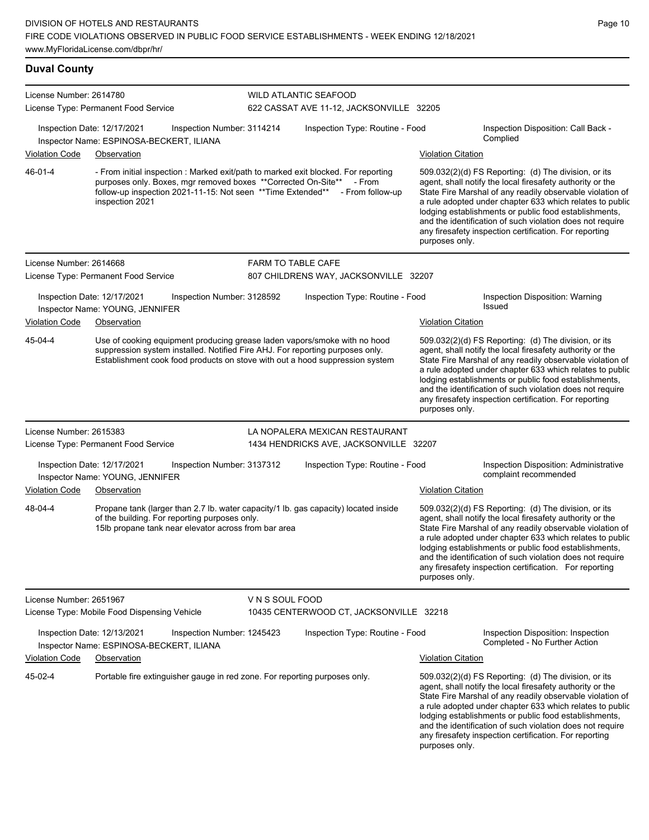| License Number: 2614780 | License Type: Permanent Food Service                                                                                                                                                                                                                    |                 | <b>WILD ATLANTIC SEAFOOD</b><br>622 CASSAT AVE 11-12, JACKSONVILLE 32205 |                                                                                                                                                                                                                                                                                                                                                                                                                                                |
|-------------------------|---------------------------------------------------------------------------------------------------------------------------------------------------------------------------------------------------------------------------------------------------------|-----------------|--------------------------------------------------------------------------|------------------------------------------------------------------------------------------------------------------------------------------------------------------------------------------------------------------------------------------------------------------------------------------------------------------------------------------------------------------------------------------------------------------------------------------------|
| <b>Violation Code</b>   | Inspection Date: 12/17/2021<br>Inspection Number: 3114214<br>Inspector Name: ESPINOSA-BECKERT, ILIANA<br>Observation                                                                                                                                    |                 | Inspection Type: Routine - Food                                          | Inspection Disposition: Call Back -<br>Complied<br><b>Violation Citation</b>                                                                                                                                                                                                                                                                                                                                                                   |
| 46-01-4                 | - From initial inspection : Marked exit/path to marked exit blocked. For reporting<br>purposes only. Boxes, mgr removed boxes **Corrected On-Site**<br>follow-up inspection 2021-11-15: Not seen ** Time Extended** - From follow-up<br>inspection 2021 |                 | - From                                                                   | $509.032(2)(d)$ FS Reporting: (d) The division, or its<br>agent, shall notify the local firesafety authority or the<br>State Fire Marshal of any readily observable violation of<br>a rule adopted under chapter 633 which relates to public<br>lodging establishments or public food establishments,<br>and the identification of such violation does not require<br>any firesafety inspection certification. For reporting<br>purposes only. |
| License Number: 2614668 |                                                                                                                                                                                                                                                         |                 | <b>FARM TO TABLE CAFE</b>                                                |                                                                                                                                                                                                                                                                                                                                                                                                                                                |
|                         | License Type: Permanent Food Service                                                                                                                                                                                                                    |                 | 807 CHILDRENS WAY, JACKSONVILLE 32207                                    |                                                                                                                                                                                                                                                                                                                                                                                                                                                |
|                         | Inspection Date: 12/17/2021<br>Inspection Number: 3128592<br>Inspector Name: YOUNG, JENNIFER                                                                                                                                                            |                 | Inspection Type: Routine - Food                                          | Inspection Disposition: Warning<br><b>Issued</b>                                                                                                                                                                                                                                                                                                                                                                                               |
| Violation Code          | Observation                                                                                                                                                                                                                                             |                 |                                                                          | <b>Violation Citation</b>                                                                                                                                                                                                                                                                                                                                                                                                                      |
| 45-04-4                 | Use of cooking equipment producing grease laden vapors/smoke with no hood<br>suppression system installed. Notified Fire AHJ. For reporting purposes only.<br>Establishment cook food products on stove with out a hood suppression system              |                 |                                                                          | 509.032(2)(d) FS Reporting: (d) The division, or its<br>agent, shall notify the local firesafety authority or the<br>State Fire Marshal of any readily observable violation of<br>a rule adopted under chapter 633 which relates to public<br>lodging establishments or public food establishments,<br>and the identification of such violation does not require<br>any firesafety inspection certification. For reporting<br>purposes only.   |
| License Number: 2615383 |                                                                                                                                                                                                                                                         |                 | LA NOPALERA MEXICAN RESTAURANT                                           |                                                                                                                                                                                                                                                                                                                                                                                                                                                |
|                         | License Type: Permanent Food Service                                                                                                                                                                                                                    |                 | 1434 HENDRICKS AVE, JACKSONVILLE 32207                                   |                                                                                                                                                                                                                                                                                                                                                                                                                                                |
|                         | Inspection Date: 12/17/2021<br>Inspection Number: 3137312<br>Inspector Name: YOUNG, JENNIFER                                                                                                                                                            |                 | Inspection Type: Routine - Food                                          | Inspection Disposition: Administrative<br>complaint recommended                                                                                                                                                                                                                                                                                                                                                                                |
| Violation Code          | Observation                                                                                                                                                                                                                                             |                 |                                                                          | <b>Violation Citation</b>                                                                                                                                                                                                                                                                                                                                                                                                                      |
| 48-04-4                 | Propane tank (larger than 2.7 lb. water capacity/1 lb. gas capacity) located inside<br>of the building. For reporting purposes only.<br>15lb propane tank near elevator across from bar area                                                            |                 |                                                                          | 509.032(2)(d) FS Reporting: (d) The division, or its<br>agent, shall notify the local firesafety authority or the<br>State Fire Marshal of any readily observable violation of<br>a rule adopted under chapter 633 which relates to public<br>lodging establishments or public food establishments,<br>and the identification of such violation does not require<br>any firesafety inspection certification. For reporting<br>purposes only.   |
| License Number: 2651967 | License Type: Mobile Food Dispensing Vehicle                                                                                                                                                                                                            | V N S SOUL FOOD | 10435 CENTERWOOD CT, JACKSONVILLE 32218                                  |                                                                                                                                                                                                                                                                                                                                                                                                                                                |
|                         | Inspection Date: 12/13/2021<br>Inspection Number: 1245423<br>Inspector Name: ESPINOSA-BECKERT, ILIANA                                                                                                                                                   |                 | Inspection Type: Routine - Food                                          | Inspection Disposition: Inspection<br>Completed - No Further Action                                                                                                                                                                                                                                                                                                                                                                            |
| <b>Violation Code</b>   | Observation                                                                                                                                                                                                                                             |                 |                                                                          | <b>Violation Citation</b>                                                                                                                                                                                                                                                                                                                                                                                                                      |
| 45-02-4                 | Portable fire extinguisher gauge in red zone. For reporting purposes only.                                                                                                                                                                              |                 |                                                                          | 509.032(2)(d) FS Reporting: (d) The division, or its<br>agent, shall notify the local firesafety authority or the<br>State Fire Marshal of any readily observable violation of<br>a rule adopted under chapter 633 which relates to public<br>lodging establishments or public food establishments,<br>and the identification of such violation does not require<br>any firesafety inspection certification. For reporting<br>purposes only.   |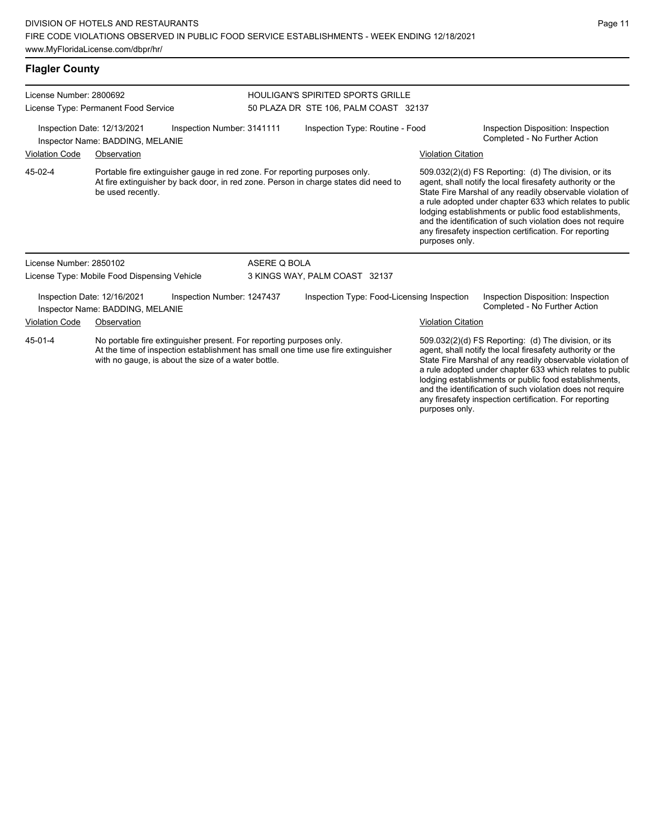# **Flagler County**

| License Number: 2800692 | License Type: Permanent Food Service                            |                                                                                                                            |              | <b>HOULIGAN'S SPIRITED SPORTS GRILLE</b><br>50 PLAZA DR STE 106, PALM COAST 32137   |                           |                                                                                                                                                                                                                                                                                                                                                                                                                            |
|-------------------------|-----------------------------------------------------------------|----------------------------------------------------------------------------------------------------------------------------|--------------|-------------------------------------------------------------------------------------|---------------------------|----------------------------------------------------------------------------------------------------------------------------------------------------------------------------------------------------------------------------------------------------------------------------------------------------------------------------------------------------------------------------------------------------------------------------|
|                         | Inspection Date: 12/13/2021<br>Inspector Name: BADDING, MELANIE | Inspection Number: 3141111                                                                                                 |              | Inspection Type: Routine - Food                                                     |                           | Inspection Disposition: Inspection<br>Completed - No Further Action                                                                                                                                                                                                                                                                                                                                                        |
| <b>Violation Code</b>   | Observation                                                     |                                                                                                                            |              |                                                                                     | <b>Violation Citation</b> |                                                                                                                                                                                                                                                                                                                                                                                                                            |
| 45-02-4                 | be used recently.                                               | Portable fire extinguisher gauge in red zone. For reporting purposes only.                                                 |              | At fire extinguisher by back door, in red zone. Person in charge states did need to | purposes only.            | 509.032(2)(d) FS Reporting: (d) The division, or its<br>agent, shall notify the local firesafety authority or the<br>State Fire Marshal of any readily observable violation of<br>a rule adopted under chapter 633 which relates to public<br>lodging establishments or public food establishments,<br>and the identification of such violation does not require<br>any firesafety inspection certification. For reporting |
| License Number: 2850102 |                                                                 |                                                                                                                            | ASERE Q BOLA |                                                                                     |                           |                                                                                                                                                                                                                                                                                                                                                                                                                            |
|                         | License Type: Mobile Food Dispensing Vehicle                    |                                                                                                                            |              | 3 KINGS WAY, PALM COAST 32137                                                       |                           |                                                                                                                                                                                                                                                                                                                                                                                                                            |
|                         | Inspection Date: 12/16/2021<br>Inspector Name: BADDING, MELANIE | Inspection Number: 1247437                                                                                                 |              | Inspection Type: Food-Licensing Inspection                                          |                           | Inspection Disposition: Inspection<br>Completed - No Further Action                                                                                                                                                                                                                                                                                                                                                        |
| <b>Violation Code</b>   | Observation                                                     |                                                                                                                            |              |                                                                                     | <b>Violation Citation</b> |                                                                                                                                                                                                                                                                                                                                                                                                                            |
| 45-01-4                 |                                                                 | No portable fire extinguisher present. For reporting purposes only.<br>with no gauge, is about the size of a water bottle. |              | At the time of inspection establishment has small one time use fire extinguisher    |                           | 509.032(2)(d) FS Reporting: (d) The division, or its<br>agent, shall notify the local firesafety authority or the<br>State Fire Marshal of any readily observable violation of<br>a rule adopted under chapter 633 which relates to public<br>lodging establishments or public food establishments,<br>and the identification of such violation does not require                                                           |

any firesafety inspection certification. For reporting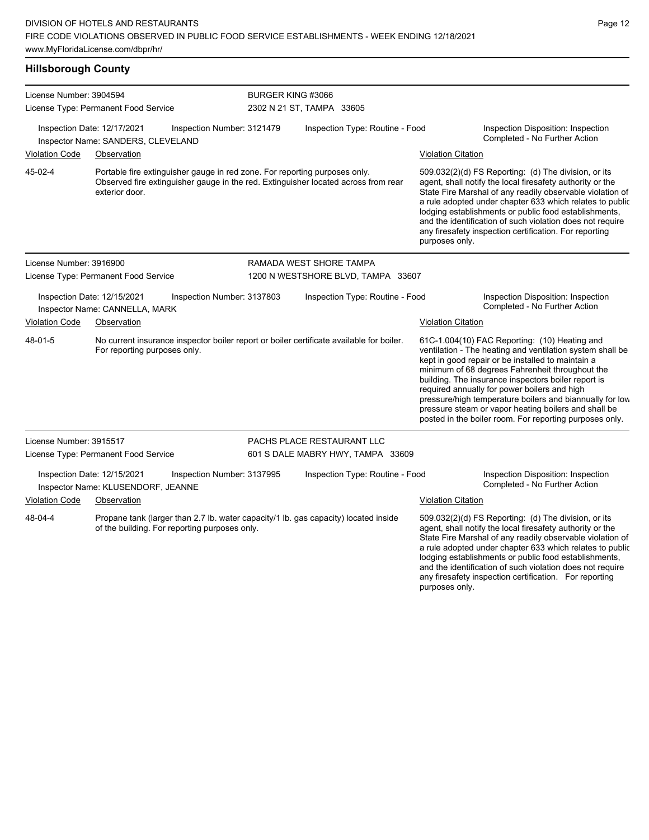## **Hillsborough County**

| License Number: 3904594              |                                                                   |                                                                            | BURGER KING #3066                  |                                                                                          |                           |                                                                                                                                                                                                                                                                                                                                                                                                                                                                                                          |  |
|--------------------------------------|-------------------------------------------------------------------|----------------------------------------------------------------------------|------------------------------------|------------------------------------------------------------------------------------------|---------------------------|----------------------------------------------------------------------------------------------------------------------------------------------------------------------------------------------------------------------------------------------------------------------------------------------------------------------------------------------------------------------------------------------------------------------------------------------------------------------------------------------------------|--|
|                                      | License Type: Permanent Food Service                              |                                                                            |                                    | 2302 N 21 ST, TAMPA 33605                                                                |                           |                                                                                                                                                                                                                                                                                                                                                                                                                                                                                                          |  |
|                                      | Inspection Date: 12/17/2021<br>Inspector Name: SANDERS, CLEVELAND | Inspection Number: 3121479                                                 |                                    | Inspection Type: Routine - Food                                                          |                           | Inspection Disposition: Inspection<br>Completed - No Further Action                                                                                                                                                                                                                                                                                                                                                                                                                                      |  |
| <b>Violation Code</b>                | Observation                                                       |                                                                            |                                    |                                                                                          | <b>Violation Citation</b> |                                                                                                                                                                                                                                                                                                                                                                                                                                                                                                          |  |
| 45-02-4                              | exterior door.                                                    | Portable fire extinguisher gauge in red zone. For reporting purposes only. |                                    | Observed fire extinguisher gauge in the red. Extinguisher located across from rear       | purposes only.            | 509.032(2)(d) FS Reporting: (d) The division, or its<br>agent, shall notify the local firesafety authority or the<br>State Fire Marshal of any readily observable violation of<br>a rule adopted under chapter 633 which relates to public<br>lodging establishments or public food establishments,<br>and the identification of such violation does not require<br>any firesafety inspection certification. For reporting                                                                               |  |
| License Number: 3916900              |                                                                   |                                                                            |                                    | RAMADA WEST SHORE TAMPA                                                                  |                           |                                                                                                                                                                                                                                                                                                                                                                                                                                                                                                          |  |
| License Type: Permanent Food Service |                                                                   |                                                                            | 1200 N WESTSHORE BLVD, TAMPA 33607 |                                                                                          |                           |                                                                                                                                                                                                                                                                                                                                                                                                                                                                                                          |  |
|                                      | Inspection Date: 12/15/2021<br>Inspector Name: CANNELLA, MARK     | Inspection Number: 3137803                                                 |                                    | Inspection Type: Routine - Food                                                          |                           | Inspection Disposition: Inspection<br>Completed - No Further Action                                                                                                                                                                                                                                                                                                                                                                                                                                      |  |
| <b>Violation Code</b>                | Observation                                                       |                                                                            |                                    |                                                                                          | <b>Violation Citation</b> |                                                                                                                                                                                                                                                                                                                                                                                                                                                                                                          |  |
| 48-01-5                              | For reporting purposes only.                                      |                                                                            |                                    | No current insurance inspector boiler report or boiler certificate available for boiler. |                           | 61C-1.004(10) FAC Reporting: (10) Heating and<br>ventilation - The heating and ventilation system shall be<br>kept in good repair or be installed to maintain a<br>minimum of 68 degrees Fahrenheit throughout the<br>building. The insurance inspectors boiler report is<br>required annually for power boilers and high<br>pressure/high temperature boilers and biannually for low<br>pressure steam or vapor heating boilers and shall be<br>posted in the boiler room. For reporting purposes only. |  |
| License Number: 3915517              |                                                                   |                                                                            |                                    | PACHS PLACE RESTAURANT LLC                                                               |                           |                                                                                                                                                                                                                                                                                                                                                                                                                                                                                                          |  |
|                                      | License Type: Permanent Food Service                              |                                                                            |                                    | 601 S DALE MABRY HWY, TAMPA 33609                                                        |                           |                                                                                                                                                                                                                                                                                                                                                                                                                                                                                                          |  |
|                                      | Inspection Date: 12/15/2021<br>Inspector Name: KLUSENDORF, JEANNE | Inspection Number: 3137995                                                 |                                    | Inspection Type: Routine - Food                                                          |                           | Inspection Disposition: Inspection<br>Completed - No Further Action                                                                                                                                                                                                                                                                                                                                                                                                                                      |  |
| <b>Violation Code</b>                | Observation                                                       |                                                                            |                                    |                                                                                          | <b>Violation Citation</b> |                                                                                                                                                                                                                                                                                                                                                                                                                                                                                                          |  |
| 48-04-4                              |                                                                   | of the building. For reporting purposes only.                              |                                    | Propane tank (larger than 2.7 lb. water capacity/1 lb. gas capacity) located inside      |                           | 509.032(2)(d) FS Reporting: (d) The division, or its<br>agent, shall notify the local firesafety authority or the<br>State Fire Marshal of any readily observable violation of<br>a rule adopted under chapter 633 which relates to public<br>lodging establishments or public food establishments,                                                                                                                                                                                                      |  |

and the identification of such violation does not require any firesafety inspection certification. For reporting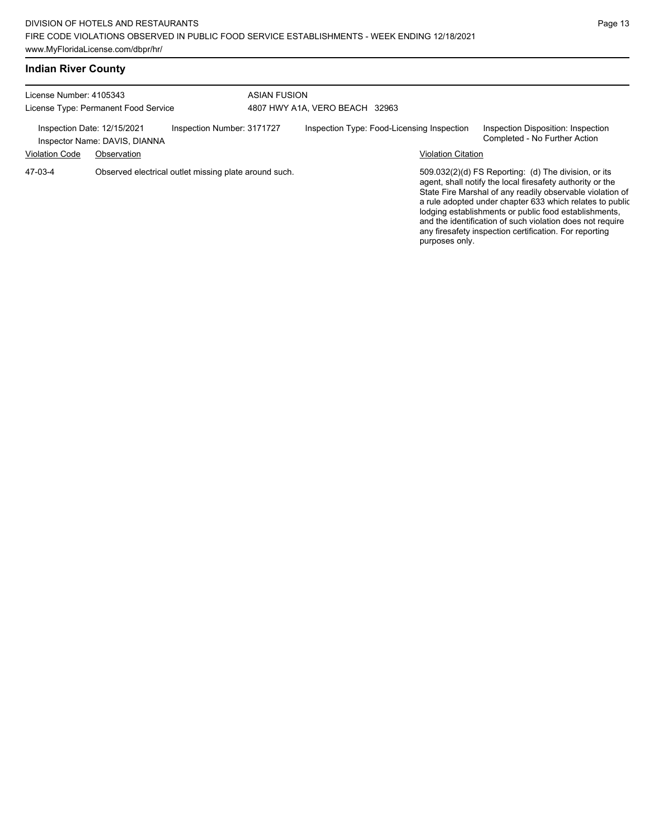|  |  | <b>Indian River County</b> |
|--|--|----------------------------|
|--|--|----------------------------|

| License Number: 4105343<br>License Type: Permanent Food Service                                                                    |  | <b>ASIAN FUSION</b><br>4807 HWY A1A, VERO BEACH 32963                   |  |                                                                     |  |                |                                                                                                                                                                                                                                                                                                                                                                                                                            |
|------------------------------------------------------------------------------------------------------------------------------------|--|-------------------------------------------------------------------------|--|---------------------------------------------------------------------|--|----------------|----------------------------------------------------------------------------------------------------------------------------------------------------------------------------------------------------------------------------------------------------------------------------------------------------------------------------------------------------------------------------------------------------------------------------|
| Inspection Number: 3171727<br>Inspection Date: 12/15/2021<br>Inspector Name: DAVIS, DIANNA<br><b>Violation Code</b><br>Observation |  | Inspection Type: Food-Licensing Inspection<br><b>Violation Citation</b> |  | Inspection Disposition: Inspection<br>Completed - No Further Action |  |                |                                                                                                                                                                                                                                                                                                                                                                                                                            |
| 47-03-4                                                                                                                            |  | Observed electrical outlet missing plate around such.                   |  |                                                                     |  | purposes only. | 509.032(2)(d) FS Reporting: (d) The division, or its<br>agent, shall notify the local firesafety authority or the<br>State Fire Marshal of any readily observable violation of<br>a rule adopted under chapter 633 which relates to public<br>lodging establishments or public food establishments,<br>and the identification of such violation does not require<br>any firesafety inspection certification. For reporting |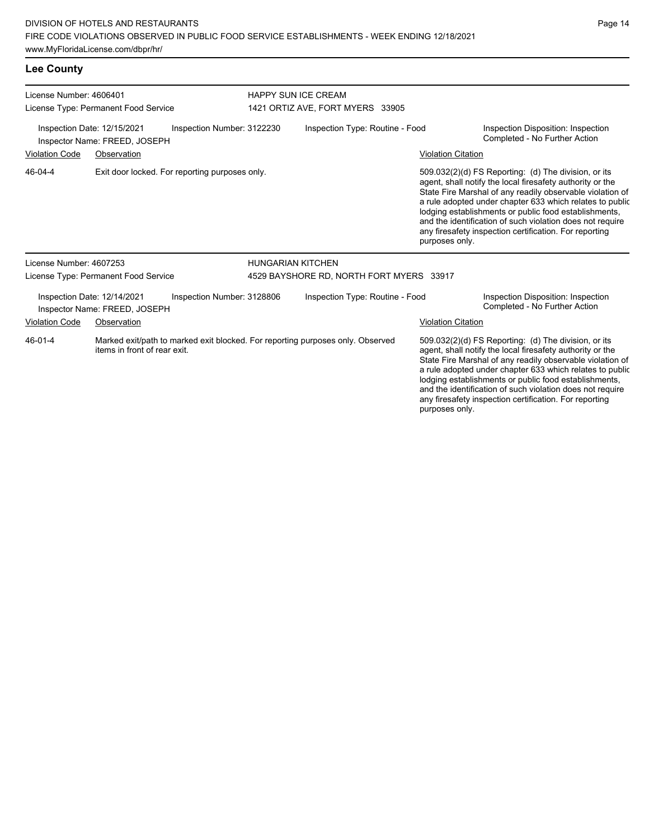**Lee County**

| License Number: 4606401 |                                                              |                                                |                          | <b>HAPPY SUN ICE CREAM</b>                                                     |                           |                                                                                                                                                                                                                                                                                                                                                                                                                            |  |  |
|-------------------------|--------------------------------------------------------------|------------------------------------------------|--------------------------|--------------------------------------------------------------------------------|---------------------------|----------------------------------------------------------------------------------------------------------------------------------------------------------------------------------------------------------------------------------------------------------------------------------------------------------------------------------------------------------------------------------------------------------------------------|--|--|
|                         | License Type: Permanent Food Service                         |                                                |                          | 1421 ORTIZ AVE, FORT MYERS 33905                                               |                           |                                                                                                                                                                                                                                                                                                                                                                                                                            |  |  |
|                         | Inspection Date: 12/15/2021<br>Inspector Name: FREED, JOSEPH | Inspection Number: 3122230                     |                          | Inspection Type: Routine - Food                                                |                           | Inspection Disposition: Inspection<br>Completed - No Further Action                                                                                                                                                                                                                                                                                                                                                        |  |  |
| <b>Violation Code</b>   | Observation                                                  |                                                |                          |                                                                                | <b>Violation Citation</b> |                                                                                                                                                                                                                                                                                                                                                                                                                            |  |  |
| 46-04-4                 |                                                              | Exit door locked. For reporting purposes only. |                          |                                                                                | purposes only.            | 509.032(2)(d) FS Reporting: (d) The division, or its<br>agent, shall notify the local firesafety authority or the<br>State Fire Marshal of any readily observable violation of<br>a rule adopted under chapter 633 which relates to public<br>lodging establishments or public food establishments,<br>and the identification of such violation does not require<br>any firesafety inspection certification. For reporting |  |  |
| License Number: 4607253 |                                                              |                                                | <b>HUNGARIAN KITCHEN</b> |                                                                                |                           |                                                                                                                                                                                                                                                                                                                                                                                                                            |  |  |
|                         | License Type: Permanent Food Service                         |                                                |                          | 4529 BAYSHORE RD, NORTH FORT MYERS 33917                                       |                           |                                                                                                                                                                                                                                                                                                                                                                                                                            |  |  |
|                         | Inspection Date: 12/14/2021<br>Inspector Name: FREED, JOSEPH | Inspection Number: 3128806                     |                          | Inspection Type: Routine - Food                                                |                           | Inspection Disposition: Inspection<br>Completed - No Further Action                                                                                                                                                                                                                                                                                                                                                        |  |  |
| <b>Violation Code</b>   | Observation                                                  |                                                |                          |                                                                                | <b>Violation Citation</b> |                                                                                                                                                                                                                                                                                                                                                                                                                            |  |  |
| 46-01-4                 | items in front of rear exit.                                 |                                                |                          | Marked exit/path to marked exit blocked. For reporting purposes only. Observed | purposes only.            | 509.032(2)(d) FS Reporting: (d) The division, or its<br>agent, shall notify the local firesafety authority or the<br>State Fire Marshal of any readily observable violation of<br>a rule adopted under chapter 633 which relates to public<br>lodging establishments or public food establishments,<br>and the identification of such violation does not require<br>any firesafety inspection certification. For reporting |  |  |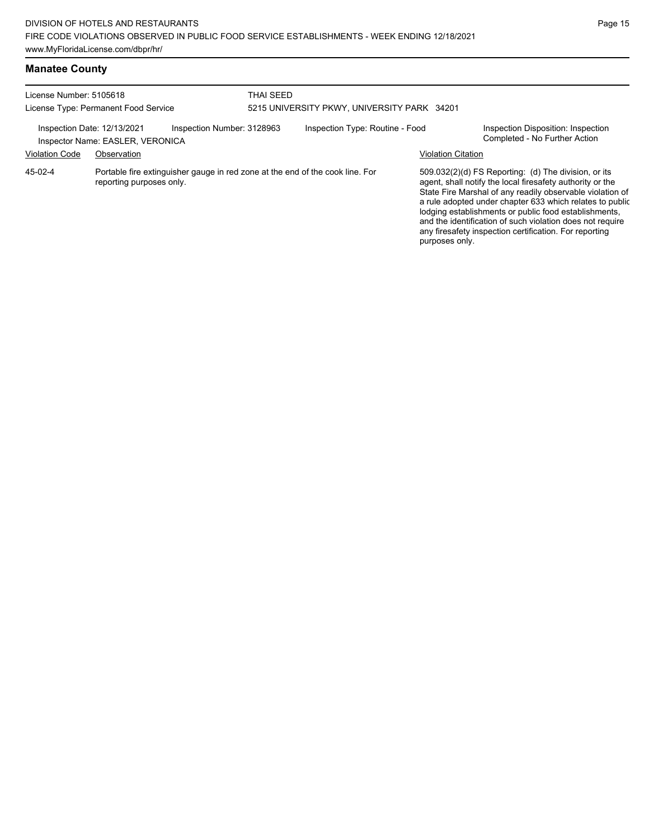| License Number: 5105618<br>License Type: Permanent Food Service                                                                               |                                  | THAI SEED<br>5215 UNIVERSITY PKWY, UNIVERSITY PARK 34201 |  |                                 |                           |                                                                                                                                                                                                                                                                                                                                                                                                                            |
|-----------------------------------------------------------------------------------------------------------------------------------------------|----------------------------------|----------------------------------------------------------|--|---------------------------------|---------------------------|----------------------------------------------------------------------------------------------------------------------------------------------------------------------------------------------------------------------------------------------------------------------------------------------------------------------------------------------------------------------------------------------------------------------------|
| Inspection Date: 12/13/2021                                                                                                                   | Inspector Name: EASLER, VERONICA | Inspection Number: 3128963                               |  | Inspection Type: Routine - Food |                           | Inspection Disposition: Inspection<br>Completed - No Further Action                                                                                                                                                                                                                                                                                                                                                        |
|                                                                                                                                               | Observation                      |                                                          |  |                                 | <b>Violation Citation</b> |                                                                                                                                                                                                                                                                                                                                                                                                                            |
| <b>Violation Code</b><br>Portable fire extinguisher gauge in red zone at the end of the cook line. For<br>45-02-4<br>reporting purposes only. |                                  |                                                          |  |                                 | purposes only.            | 509.032(2)(d) FS Reporting: (d) The division, or its<br>agent, shall notify the local firesafety authority or the<br>State Fire Marshal of any readily observable violation of<br>a rule adopted under chapter 633 which relates to public<br>lodging establishments or public food establishments,<br>and the identification of such violation does not require<br>any firesafety inspection certification. For reporting |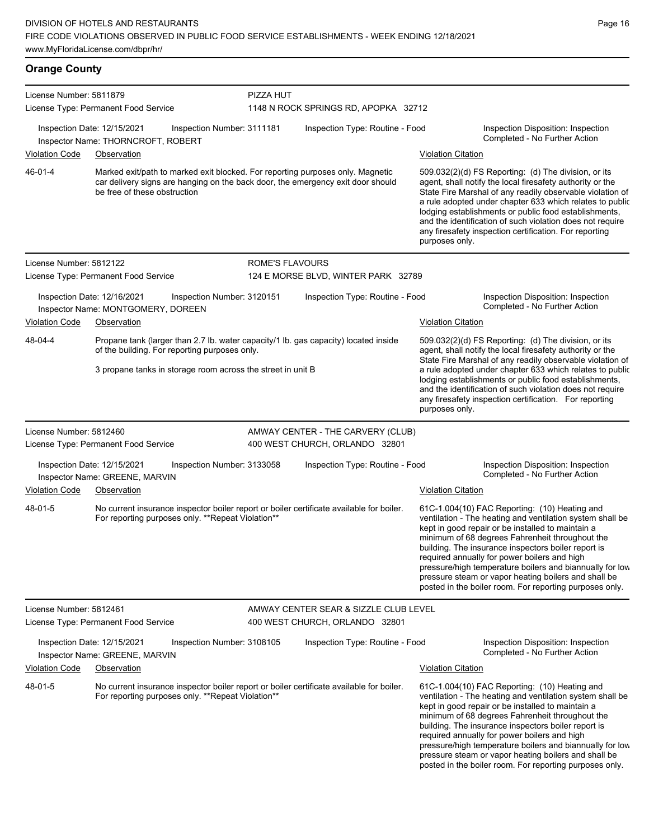**Orange County** License Number: 5811879 License Type: Permanent Food Service PIZZA HUT 1148 N ROCK SPRINGS RD, APOPKA 32712 Inspection Date: 12/15/2021 Inspection Number: 3111181 Inspection Type: Routine - Food Inspection Disposition: Inspection Completed - No Further Action Inspector Name: THORNCROFT, ROBERT Violation Code Observation **Violation Code Observation** Violation Citation Citation Citation Citation Citation Citation Citation Citation Citation Citation Citation Citation Citation Citation Citation Citation Citation Cit Marked exit/path to marked exit blocked. For reporting purposes only. Magnetic car delivery signs are hanging on the back door, the emergency exit door should be free of these obstruction 509.032(2)(d) FS Reporting: (d) The division, or its agent, shall notify the local firesafety authority or the State Fire Marshal of any readily observable violation of a rule adopted under chapter 633 which relates to public lodging establishments or public food establishments, and the identification of such violation does not require any firesafety inspection certification. For reporting purposes only. 46-01-4 License Number: 5812122 License Type: Permanent Food Service ROME'S FLAVOURS 124 E MORSE BLVD, WINTER PARK 32789 Inspection Date: 12/16/2021 Inspection Number: 3120151 Inspection Type: Routine - Food Inspection Disposition: Inspection Inspector Name: MONTGOMERY, DOREEN **Inspector Name: MONTGOMERY, DOREEN** Violation Code Observation Violation Citation Propane tank (larger than 2.7 lb. water capacity/1 lb. gas capacity) located inside of the building. For reporting purposes only. 3 propane tanks in storage room across the street in unit B 509.032(2)(d) FS Reporting: (d) The division, or its agent, shall notify the local firesafety authority or the State Fire Marshal of any readily observable violation of a rule adopted under chapter 633 which relates to public lodging establishments or public food establishments, and the identification of such violation does not require any firesafety inspection certification. For reporting purposes only. 48-04-4 License Number: 5812460 License Type: Permanent Food Service AMWAY CENTER - THE CARVERY (CLUB) 400 WEST CHURCH, ORLANDO 32801 Inspection Date: 12/15/2021 Inspection Number: 3133058 Inspection Type: Routine - Food Inspection Disposition: Inspection Inspector Name: GREENE, MARVIN Violation Code Observation Violation Citation No current insurance inspector boiler report or boiler certificate available for boiler. For reporting purposes only. \*\*Repeat Violation\*\* 61C-1.004(10) FAC Reporting: (10) Heating and ventilation - The heating and ventilation system shall be kept in good repair or be installed to maintain a minimum of 68 degrees Fahrenheit throughout the building. The insurance inspectors boiler report is required annually for power boilers and high pressure/high temperature boilers and biannually for low pressure steam or vapor heating boilers and shall be posted in the boiler room. For reporting purposes only. 48-01-5 License Number: 5812461 License Type: Permanent Food Service AMWAY CENTER SEAR & SIZZLE CLUB LEVEL 400 WEST CHURCH, ORLANDO 32801 Inspection Date: 12/15/2021 Inspection Number: 3108105 Inspection Type: Routine - Food Inspection Disposition: Inspection Inspector Name: GREENE, MARVIN Violation Code Observation **Violation Citation** Violation Citation Citation No current insurance inspector boiler report or boiler certificate available for boiler. For reporting purposes only. \*\*Repeat Violation\*\* 61C-1.004(10) FAC Reporting: (10) Heating and ventilation - The heating and ventilation system shall be kept in good repair or be installed to maintain a minimum of 68 degrees Fahrenheit throughout the building. The insurance inspectors boiler report is required annually for power boilers and high pressure/high temperature boilers and biannually for low pressure steam or vapor heating boilers and shall be 48-01-5

posted in the boiler room. For reporting purposes only.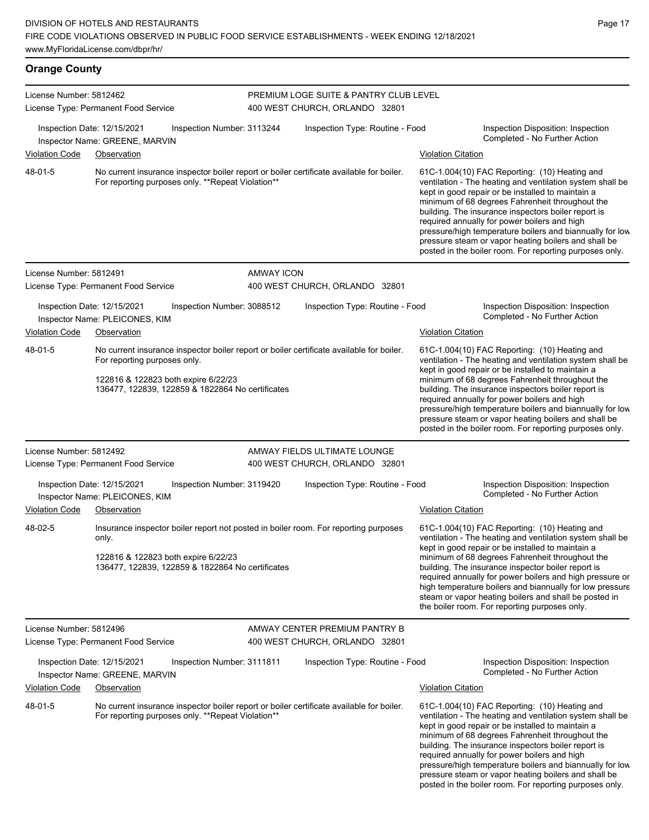| <b>Orange County</b>    |                                                                                                                                                                                                                     |                   |                                                                          |                           |                                                                                                                                                                                                                                                                                                                                                                                                                                                                                                            |
|-------------------------|---------------------------------------------------------------------------------------------------------------------------------------------------------------------------------------------------------------------|-------------------|--------------------------------------------------------------------------|---------------------------|------------------------------------------------------------------------------------------------------------------------------------------------------------------------------------------------------------------------------------------------------------------------------------------------------------------------------------------------------------------------------------------------------------------------------------------------------------------------------------------------------------|
| License Number: 5812462 | License Type: Permanent Food Service                                                                                                                                                                                |                   | PREMIUM LOGE SUITE & PANTRY CLUB LEVEL<br>400 WEST CHURCH, ORLANDO 32801 |                           |                                                                                                                                                                                                                                                                                                                                                                                                                                                                                                            |
|                         | Inspection Date: 12/15/2021<br>Inspection Number: 3113244<br>Inspector Name: GREENE, MARVIN                                                                                                                         |                   | Inspection Type: Routine - Food                                          |                           | Inspection Disposition: Inspection<br>Completed - No Further Action                                                                                                                                                                                                                                                                                                                                                                                                                                        |
| <b>Violation Code</b>   | Observation                                                                                                                                                                                                         |                   |                                                                          | Violation Citation        |                                                                                                                                                                                                                                                                                                                                                                                                                                                                                                            |
| 48-01-5                 | No current insurance inspector boiler report or boiler certificate available for boiler.<br>For reporting purposes only. **Repeat Violation**                                                                       |                   |                                                                          |                           | 61C-1.004(10) FAC Reporting: (10) Heating and<br>ventilation - The heating and ventilation system shall be<br>kept in good repair or be installed to maintain a<br>minimum of 68 degrees Fahrenheit throughout the<br>building. The insurance inspectors boiler report is<br>required annually for power boilers and high<br>pressure/high temperature boilers and biannually for low<br>pressure steam or vapor heating boilers and shall be<br>posted in the boiler room. For reporting purposes only.   |
| License Number: 5812491 |                                                                                                                                                                                                                     | <b>AMWAY ICON</b> |                                                                          |                           |                                                                                                                                                                                                                                                                                                                                                                                                                                                                                                            |
|                         | License Type: Permanent Food Service                                                                                                                                                                                |                   | 400 WEST CHURCH, ORLANDO 32801                                           |                           |                                                                                                                                                                                                                                                                                                                                                                                                                                                                                                            |
|                         | Inspection Date: 12/15/2021<br>Inspection Number: 3088512<br>Inspector Name: PLEICONES, KIM                                                                                                                         |                   | Inspection Type: Routine - Food                                          |                           | Inspection Disposition: Inspection<br>Completed - No Further Action                                                                                                                                                                                                                                                                                                                                                                                                                                        |
| <b>Violation Code</b>   | Observation                                                                                                                                                                                                         |                   |                                                                          | Violation Citation        |                                                                                                                                                                                                                                                                                                                                                                                                                                                                                                            |
| 48-01-5                 | No current insurance inspector boiler report or boiler certificate available for boiler.<br>For reporting purposes only.<br>122816 & 122823 both expire 6/22/23<br>136477, 122839, 122859 & 1822864 No certificates |                   |                                                                          |                           | 61C-1.004(10) FAC Reporting: (10) Heating and<br>ventilation - The heating and ventilation system shall be<br>kept in good repair or be installed to maintain a<br>minimum of 68 degrees Fahrenheit throughout the<br>building. The insurance inspectors boiler report is<br>required annually for power boilers and high<br>pressure/high temperature boilers and biannually for low<br>pressure steam or vapor heating boilers and shall be<br>posted in the boiler room. For reporting purposes only.   |
| License Number: 5812492 |                                                                                                                                                                                                                     |                   | AMWAY FIELDS ULTIMATE LOUNGE                                             |                           |                                                                                                                                                                                                                                                                                                                                                                                                                                                                                                            |
|                         | License Type: Permanent Food Service                                                                                                                                                                                |                   | 400 WEST CHURCH, ORLANDO 32801                                           |                           |                                                                                                                                                                                                                                                                                                                                                                                                                                                                                                            |
| <b>Violation Code</b>   | Inspection Date: 12/15/2021<br>Inspection Number: 3119420<br>Inspector Name: PLEICONES, KIM<br>Observation                                                                                                          |                   | Inspection Type: Routine - Food                                          | <b>Violation Citation</b> | Inspection Disposition: Inspection<br>Completed - No Further Action                                                                                                                                                                                                                                                                                                                                                                                                                                        |
| 48-02-5                 | Insurance inspector boiler report not posted in boiler room. For reporting purposes<br>only.<br>122816 & 122823 both expire 6/22/23<br>136477, 122839, 122859 & 1822864 No certificates                             |                   |                                                                          |                           | 61C-1.004(10) FAC Reporting: (10) Heating and<br>ventilation - The heating and ventilation system shall be<br>kept in good repair or be installed to maintain a<br>minimum of 68 degrees Fahrenheit throughout the<br>building. The insurance inspector boiler report is<br>required annually for power boilers and high pressure or<br>high temperature boilers and biannually for low pressure<br>steam or vapor heating boilers and shall be posted in<br>the boiler room. For reporting purposes only. |
| License Number: 5812496 |                                                                                                                                                                                                                     |                   | AMWAY CENTER PREMIUM PANTRY B                                            |                           |                                                                                                                                                                                                                                                                                                                                                                                                                                                                                                            |
|                         | License Type: Permanent Food Service                                                                                                                                                                                |                   | 400 WEST CHURCH, ORLANDO 32801                                           |                           |                                                                                                                                                                                                                                                                                                                                                                                                                                                                                                            |
|                         | Inspection Date: 12/15/2021<br>Inspection Number: 3111811<br>Inspector Name: GREENE, MARVIN                                                                                                                         |                   | Inspection Type: Routine - Food                                          |                           | Inspection Disposition: Inspection<br>Completed - No Further Action                                                                                                                                                                                                                                                                                                                                                                                                                                        |
| Violation Code          | Observation                                                                                                                                                                                                         |                   |                                                                          | Violation Citation        |                                                                                                                                                                                                                                                                                                                                                                                                                                                                                                            |
| 48-01-5                 | No current insurance inspector boiler report or boiler certificate available for boiler.<br>For reporting purposes only. **Repeat Violation**                                                                       |                   |                                                                          |                           | 61C-1.004(10) FAC Reporting: (10) Heating and<br>ventilation - The heating and ventilation system shall be<br>kept in good repair or be installed to maintain a                                                                                                                                                                                                                                                                                                                                            |

minimum of 68 degrees Fahrenheit throughout the building. The insurance inspectors boiler report is required annually for power boilers and high pressure/high temperature boilers and biannually for low pressure steam or vapor heating boilers and shall be posted in the boiler room. For reporting purposes only.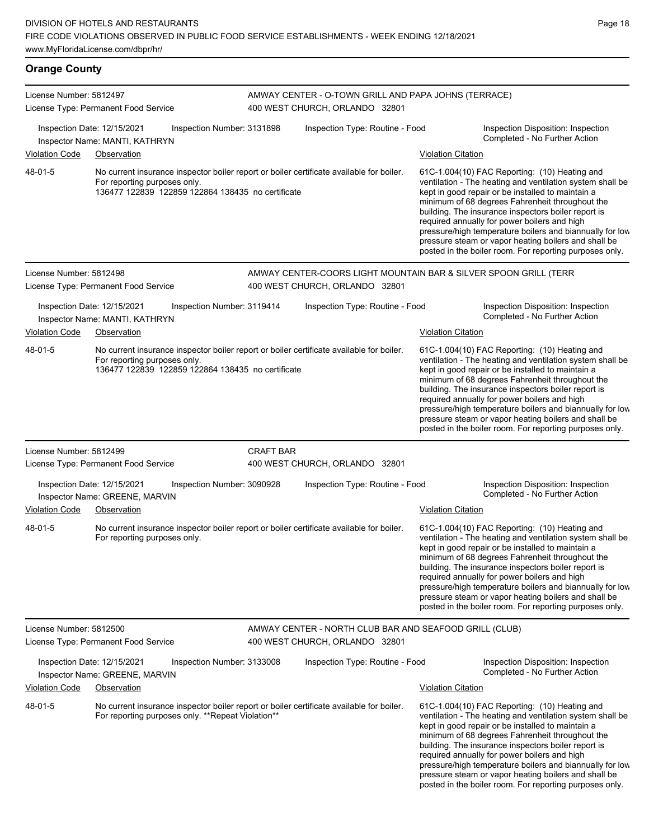**Orange County** License Number: 5812497 License Type: Permanent Food Service AMWAY CENTER - O-TOWN GRILL AND PAPA JOHNS (TERRACE) 400 WEST CHURCH, ORLANDO 32801 Inspection Date: 12/15/2021 Inspection Number: 3131898 Inspection Type: Routine - Food Inspection Disposition: Inspection Inspector Name: MANTI, KATHRYN Violation Code Observation Violation Citation No current insurance inspector boiler report or boiler certificate available for boiler. For reporting purposes only. 136477 122839 122859 122864 138435 no certificate 61C-1.004(10) FAC Reporting: (10) Heating and ventilation - The heating and ventilation system shall be kept in good repair or be installed to maintain a minimum of 68 degrees Fahrenheit throughout the building. The insurance inspectors boiler report is required annually for power boilers and high pressure/high temperature boilers and biannually for low pressure steam or vapor heating boilers and shall be posted in the boiler room. For reporting purposes only. 48-01-5 License Number: 5812498 License Type: Permanent Food Service AMWAY CENTER-COORS LIGHT MOUNTAIN BAR & SILVER SPOON GRILL (TERR 400 WEST CHURCH, ORLANDO 32801 Inspection Date: 12/15/2021 Inspection Number: 3119414 Inspection Type: Routine - Food Inspection Disposition: Inspection Inspector Name: MANTI, KATHRYN Violation Code Observation Violation Citation No current insurance inspector boiler report or boiler certificate available for boiler. For reporting purposes only. 136477 122839 122859 122864 138435 no certificate 61C-1.004(10) FAC Reporting: (10) Heating and ventilation - The heating and ventilation system shall be kept in good repair or be installed to maintain a minimum of 68 degrees Fahrenheit throughout the building. The insurance inspectors boiler report is required annually for power boilers and high pressure/high temperature boilers and biannually for low pressure steam or vapor heating boilers and shall be posted in the boiler room. For reporting purposes only. 48-01-5 License Number: 5812499 License Type: Permanent Food Service CRAFT BAR 400 WEST CHURCH, ORLANDO 32801 Inspection Date: 12/15/2021 Inspection Number: 3090928 Inspection Type: Routine - Food Inspection Disposition: Inspection Inspector Name: GREENE, MARVIN **Inspector Name: GREENE, MARVIN** Violation Code Observation **Violation** Violation Code Observation No current insurance inspector boiler report or boiler certificate available for boiler. For reporting purposes only. 61C-1.004(10) FAC Reporting: (10) Heating and ventilation - The heating and ventilation system shall be kept in good repair or be installed to maintain a minimum of 68 degrees Fahrenheit throughout the building. The insurance inspectors boiler report is required annually for power boilers and high pressure/high temperature boilers and biannually for low pressure steam or vapor heating boilers and shall be posted in the boiler room. For reporting purposes only. 48-01-5 License Number: 5812500 License Type: Permanent Food Service AMWAY CENTER - NORTH CLUB BAR AND SEAFOOD GRILL (CLUB) 400 WEST CHURCH, ORLANDO 32801 Inspection Date: 12/15/2021 Inspection Number: 3133008 Inspection Type: Routine - Food Inspection Disposition: Inspection<br>Inspector Name: GREENE MARVIN Inspector Name: GREENE, MARVIN Violation Code Observation Violation Citation No current insurance inspector boiler report or boiler certificate available for boiler. For reporting purposes only. \*\*Repeat Violation\*\* 61C-1.004(10) FAC Reporting: (10) Heating and ventilation - The heating and ventilation system shall be kept in good repair or be installed to maintain a minimum of 68 degrees Fahrenheit throughout the building. The insurance inspectors boiler report is required annually for power boilers and high 48-01-5

pressure/high temperature boilers and biannually for low pressure steam or vapor heating boilers and shall be posted in the boiler room. For reporting purposes only.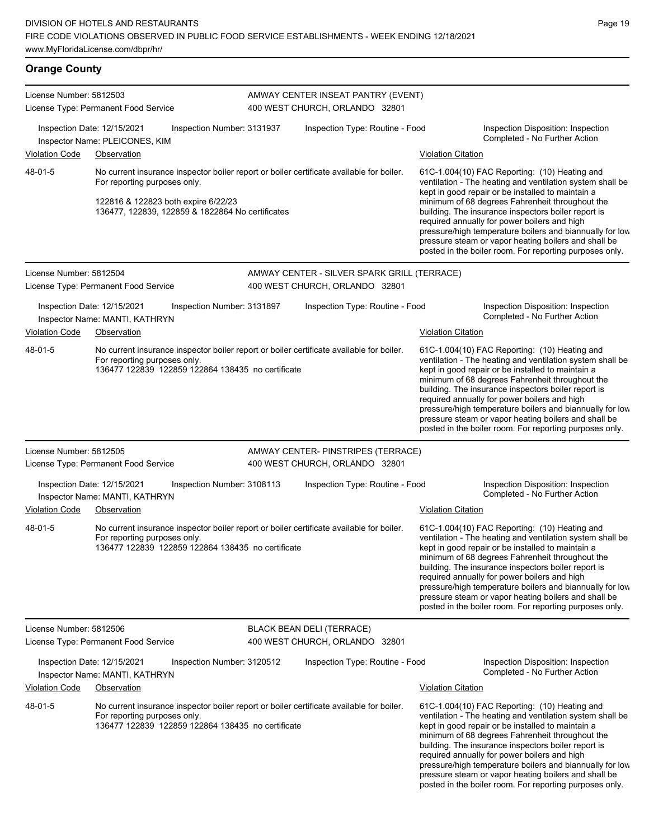## **Orange County**

| License Number: 5812503 | License Type: Permanent Food Service                                                                                                                                                                                |                            | AMWAY CENTER INSEAT PANTRY (EVENT)<br>400 WEST CHURCH, ORLANDO 32801 |                           |                                                                                                                                                                                                                                                                                                                                                                                                                                                                                                          |
|-------------------------|---------------------------------------------------------------------------------------------------------------------------------------------------------------------------------------------------------------------|----------------------------|----------------------------------------------------------------------|---------------------------|----------------------------------------------------------------------------------------------------------------------------------------------------------------------------------------------------------------------------------------------------------------------------------------------------------------------------------------------------------------------------------------------------------------------------------------------------------------------------------------------------------|
|                         | Inspection Date: 12/15/2021<br>Inspector Name: PLEICONES, KIM                                                                                                                                                       | Inspection Number: 3131937 | Inspection Type: Routine - Food                                      |                           | Inspection Disposition: Inspection<br>Completed - No Further Action                                                                                                                                                                                                                                                                                                                                                                                                                                      |
| Violation Code          | Observation                                                                                                                                                                                                         |                            |                                                                      | <b>Violation Citation</b> |                                                                                                                                                                                                                                                                                                                                                                                                                                                                                                          |
| 48-01-5                 | No current insurance inspector boiler report or boiler certificate available for boiler.<br>For reporting purposes only.<br>122816 & 122823 both expire 6/22/23<br>136477, 122839, 122859 & 1822864 No certificates |                            |                                                                      |                           | 61C-1.004(10) FAC Reporting: (10) Heating and<br>ventilation - The heating and ventilation system shall be<br>kept in good repair or be installed to maintain a<br>minimum of 68 degrees Fahrenheit throughout the<br>building. The insurance inspectors boiler report is<br>required annually for power boilers and high<br>pressure/high temperature boilers and biannually for low<br>pressure steam or vapor heating boilers and shall be<br>posted in the boiler room. For reporting purposes only. |
| License Number: 5812504 |                                                                                                                                                                                                                     |                            | AMWAY CENTER - SILVER SPARK GRILL (TERRACE)                          |                           |                                                                                                                                                                                                                                                                                                                                                                                                                                                                                                          |
|                         | License Type: Permanent Food Service                                                                                                                                                                                |                            | 400 WEST CHURCH, ORLANDO 32801                                       |                           |                                                                                                                                                                                                                                                                                                                                                                                                                                                                                                          |
|                         | Inspection Date: 12/15/2021<br>Inspector Name: MANTI, KATHRYN                                                                                                                                                       | Inspection Number: 3131897 | Inspection Type: Routine - Food                                      |                           | Inspection Disposition: Inspection<br>Completed - No Further Action                                                                                                                                                                                                                                                                                                                                                                                                                                      |
| Violation Code          | Observation                                                                                                                                                                                                         |                            |                                                                      | <b>Violation Citation</b> |                                                                                                                                                                                                                                                                                                                                                                                                                                                                                                          |
| 48-01-5                 | No current insurance inspector boiler report or boiler certificate available for boiler.<br>For reporting purposes only.<br>136477 122839 122859 122864 138435 no certificate                                       |                            |                                                                      |                           | 61C-1.004(10) FAC Reporting: (10) Heating and<br>ventilation - The heating and ventilation system shall be<br>kept in good repair or be installed to maintain a<br>minimum of 68 degrees Fahrenheit throughout the<br>building. The insurance inspectors boiler report is<br>required annually for power boilers and high<br>pressure/high temperature boilers and biannually for low<br>pressure steam or vapor heating boilers and shall be<br>posted in the boiler room. For reporting purposes only. |
| License Number: 5812505 |                                                                                                                                                                                                                     |                            | AMWAY CENTER- PINSTRIPES (TERRACE)                                   |                           |                                                                                                                                                                                                                                                                                                                                                                                                                                                                                                          |
|                         | License Type: Permanent Food Service                                                                                                                                                                                |                            | 400 WEST CHURCH, ORLANDO 32801                                       |                           |                                                                                                                                                                                                                                                                                                                                                                                                                                                                                                          |
|                         | Inspection Date: 12/15/2021<br>Inspector Name: MANTI, KATHRYN                                                                                                                                                       | Inspection Number: 3108113 | Inspection Type: Routine - Food                                      |                           | Inspection Disposition: Inspection<br>Completed - No Further Action                                                                                                                                                                                                                                                                                                                                                                                                                                      |
| Violation Code          | Observation                                                                                                                                                                                                         |                            |                                                                      | <b>Violation Citation</b> |                                                                                                                                                                                                                                                                                                                                                                                                                                                                                                          |
| 48-01-5                 | No current insurance inspector boiler report or boiler certificate available for boiler.<br>For reporting purposes only.<br>136477 122839 122859 122864 138435 no certificate                                       |                            |                                                                      |                           | 61C-1.004(10) FAC Reporting: (10) Heating and<br>ventilation - The heating and ventilation system shall be<br>kept in good repair or be installed to maintain a<br>minimum of 68 degrees Fahrenheit throughout the<br>building. The insurance inspectors boiler report is<br>required annually for power boilers and high<br>pressure/high temperature boilers and biannually for low<br>pressure steam or vapor heating boilers and shall be<br>posted in the boiler room. For reporting purposes only. |
| License Number: 5812506 |                                                                                                                                                                                                                     |                            | <b>BLACK BEAN DELI (TERRACE)</b>                                     |                           |                                                                                                                                                                                                                                                                                                                                                                                                                                                                                                          |
|                         | License Type: Permanent Food Service                                                                                                                                                                                |                            | 400 WEST CHURCH, ORLANDO 32801                                       |                           |                                                                                                                                                                                                                                                                                                                                                                                                                                                                                                          |
|                         | Inspection Date: 12/15/2021<br>Inspector Name: MANTI, KATHRYN                                                                                                                                                       | Inspection Number: 3120512 | Inspection Type: Routine - Food                                      |                           | Inspection Disposition: Inspection<br>Completed - No Further Action                                                                                                                                                                                                                                                                                                                                                                                                                                      |
| <b>Violation Code</b>   | Observation                                                                                                                                                                                                         |                            |                                                                      | <b>Violation Citation</b> |                                                                                                                                                                                                                                                                                                                                                                                                                                                                                                          |
| 48-01-5                 | No current insurance inspector boiler report or boiler certificate available for boiler.<br>For reporting purposes only.<br>136477 122839 122859 122864 138435 no certificate                                       |                            |                                                                      |                           | 61C-1.004(10) FAC Reporting: (10) Heating and<br>ventilation - The heating and ventilation system shall be<br>kept in good repair or be installed to maintain a<br>minimum of 68 degrees Fahrenheit throughout the<br>building. The insurance inspectors boiler report is<br>required annually for power boilers and high<br>pressure/high temperature boilers and biannually for low<br>pressure steam or vapor heating boilers and shall be<br>posted in the boiler room. For reporting purposes only. |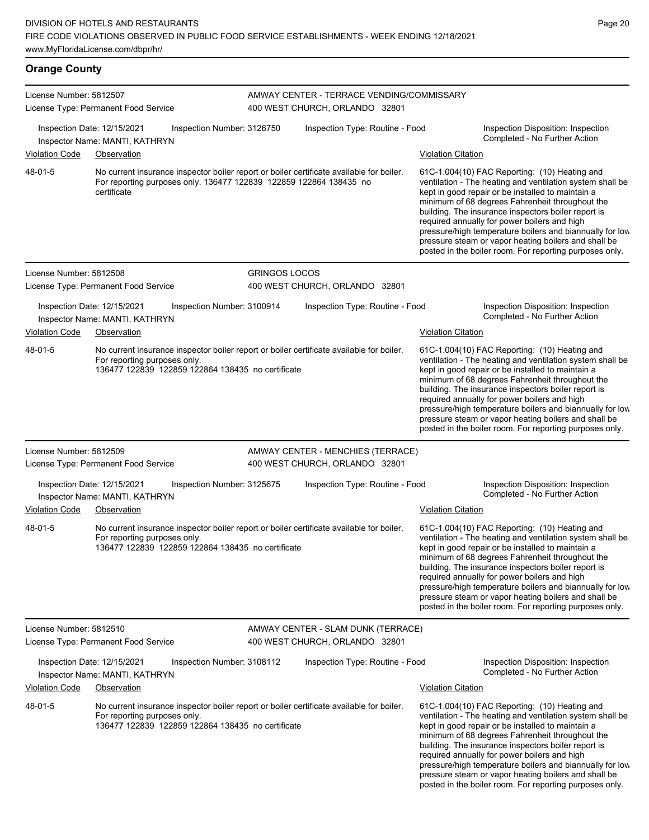License Number: 5812507 License Type: Permanent Food Service AMWAY CENTER - TERRACE VENDING/COMMISSARY 400 WEST CHURCH, ORLANDO 32801 Inspection Date: 12/15/2021 Inspection Number: 3126750 Inspection Type: Routine - Food Inspection Disposition: Inspection Inspector Name: MANTI, KATHRYN Violation Code Observation **Violation Code Observation** Violation Citation Citation Citation Citation Citation Citation Citation Citation Citation Citation Citation Citation Citation Citation Citation Citation Citation Cit No current insurance inspector boiler report or boiler certificate available for boiler. For reporting purposes only. 136477 122839 122859 122864 138435 no certificate 61C-1.004(10) FAC Reporting: (10) Heating and ventilation - The heating and ventilation system shall be kept in good repair or be installed to maintain a minimum of 68 degrees Fahrenheit throughout the building. The insurance inspectors boiler report is required annually for power boilers and high pressure/high temperature boilers and biannually for low pressure steam or vapor heating boilers and shall be posted in the boiler room. For reporting purposes only. 48-01-5 License Number: 5812508 License Type: Permanent Food Service GRINGOS LOCOS 400 WEST CHURCH, ORLANDO 32801 Inspection Date: 12/15/2021 Inspection Number: 3100914 Inspection Type: Routine - Food Inspection Disposition: Inspection Inspector Name: MANTI, KATHRYN Violation Code Observation Violation Citation No current insurance inspector boiler report or boiler certificate available for boiler. For reporting purposes only. 136477 122839 122859 122864 138435 no certificate 61C-1.004(10) FAC Reporting: (10) Heating and ventilation - The heating and ventilation system shall be kept in good repair or be installed to maintain a minimum of 68 degrees Fahrenheit throughout the building. The insurance inspectors boiler report is required annually for power boilers and high pressure/high temperature boilers and biannually for low pressure steam or vapor heating boilers and shall be posted in the boiler room. For reporting purposes only. 48-01-5 License Number: 5812509 License Type: Permanent Food Service AMWAY CENTER - MENCHIES (TERRACE) 400 WEST CHURCH, ORLANDO 32801 Inspection Date: 12/15/2021 Inspection Number: 3125675 Inspection Type: Routine - Food Inspection Disposition: Inspection Inspector Name: MANTI, KATHRYN **Completed - No Further Action** Violation Code Observation **Violation** Violation Code Observation No current insurance inspector boiler report or boiler certificate available for boiler. For reporting purposes only. 136477 122839 122859 122864 138435 no certificate 61C-1.004(10) FAC Reporting: (10) Heating and ventilation - The heating and ventilation system shall be kept in good repair or be installed to maintain a minimum of 68 degrees Fahrenheit throughout the building. The insurance inspectors boiler report is required annually for power boilers and high pressure/high temperature boilers and biannually for low pressure steam or vapor heating boilers and shall be posted in the boiler room. For reporting purposes only. 48-01-5 License Number: 5812510 AMWAY CENTER - SLAM DUNK (TERRACE)

Inspection Date: 12/15/2021 Inspection Number: 3108112 Inspection Type: Routine - Food Inspection Disposition: Inspection<br>Inspector Name: MANTI KATHRYN Inspector Name: MANTI, KATHRYN Violation Code Observation Violation Citation No current insurance inspector boiler report or boiler certificate available for boiler. For reporting purposes only. 136477 122839 122859 122864 138435 no certificate 61C-1.004(10) FAC Reporting: (10) Heating and ventilation - The heating and ventilation system shall be kept in good repair or be installed to maintain a minimum of 68 degrees Fahrenheit throughout the building. The insurance inspectors boiler report is required annually for power boilers and high pressure/high temperature boilers and biannually for low 48-01-5

> pressure steam or vapor heating boilers and shall be posted in the boiler room. For reporting purposes only.

400 WEST CHURCH, ORLANDO 32801

## **Orange County**

License Type: Permanent Food Service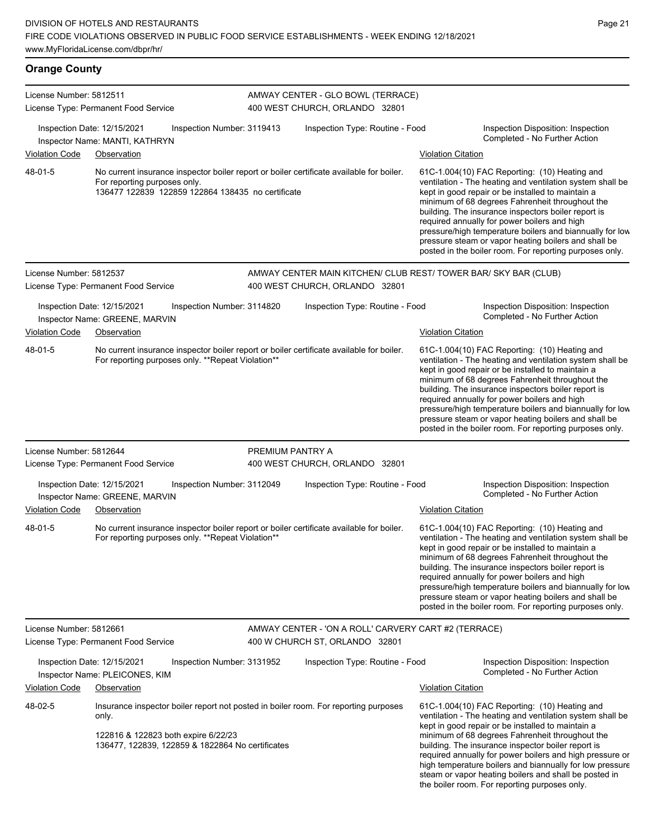# **Orange County**

| License Number: 5812511 | License Type: Permanent Food Service                                                                                                                                                    |                  | AMWAY CENTER - GLO BOWL (TERRACE)<br>400 WEST CHURCH, ORLANDO 32801                               |                           |                                                                                                                                                                                                                                                                                                                                                                                                                                                                                                            |
|-------------------------|-----------------------------------------------------------------------------------------------------------------------------------------------------------------------------------------|------------------|---------------------------------------------------------------------------------------------------|---------------------------|------------------------------------------------------------------------------------------------------------------------------------------------------------------------------------------------------------------------------------------------------------------------------------------------------------------------------------------------------------------------------------------------------------------------------------------------------------------------------------------------------------|
|                         | Inspection Date: 12/15/2021<br>Inspection Number: 3119413<br>Inspector Name: MANTI, KATHRYN                                                                                             |                  | Inspection Type: Routine - Food                                                                   |                           | Inspection Disposition: Inspection<br>Completed - No Further Action                                                                                                                                                                                                                                                                                                                                                                                                                                        |
| Violation Code          | Observation                                                                                                                                                                             |                  |                                                                                                   | <b>Violation Citation</b> |                                                                                                                                                                                                                                                                                                                                                                                                                                                                                                            |
| 48-01-5                 | No current insurance inspector boiler report or boiler certificate available for boiler.<br>For reporting purposes only.<br>136477 122839 122859 122864 138435 no certificate           |                  |                                                                                                   |                           | 61C-1.004(10) FAC Reporting: (10) Heating and<br>ventilation - The heating and ventilation system shall be<br>kept in good repair or be installed to maintain a<br>minimum of 68 degrees Fahrenheit throughout the<br>building. The insurance inspectors boiler report is<br>required annually for power boilers and high<br>pressure/high temperature boilers and biannually for low<br>pressure steam or vapor heating boilers and shall be<br>posted in the boiler room. For reporting purposes only.   |
| License Number: 5812537 | License Type: Permanent Food Service                                                                                                                                                    |                  | AMWAY CENTER MAIN KITCHEN/ CLUB REST/ TOWER BAR/ SKY BAR (CLUB)<br>400 WEST CHURCH, ORLANDO 32801 |                           |                                                                                                                                                                                                                                                                                                                                                                                                                                                                                                            |
|                         | Inspection Date: 12/15/2021<br>Inspection Number: 3114820<br>Inspector Name: GREENE, MARVIN                                                                                             |                  | Inspection Type: Routine - Food                                                                   |                           | Inspection Disposition: Inspection<br>Completed - No Further Action                                                                                                                                                                                                                                                                                                                                                                                                                                        |
| <b>Violation Code</b>   | Observation                                                                                                                                                                             |                  |                                                                                                   | <b>Violation Citation</b> |                                                                                                                                                                                                                                                                                                                                                                                                                                                                                                            |
| 48-01-5                 | No current insurance inspector boiler report or boiler certificate available for boiler.<br>For reporting purposes only. **Repeat Violation**                                           |                  |                                                                                                   |                           | 61C-1.004(10) FAC Reporting: (10) Heating and<br>ventilation - The heating and ventilation system shall be<br>kept in good repair or be installed to maintain a<br>minimum of 68 degrees Fahrenheit throughout the<br>building. The insurance inspectors boiler report is<br>required annually for power boilers and high<br>pressure/high temperature boilers and biannually for low<br>pressure steam or vapor heating boilers and shall be<br>posted in the boiler room. For reporting purposes only.   |
| License Number: 5812644 |                                                                                                                                                                                         | PREMIUM PANTRY A |                                                                                                   |                           |                                                                                                                                                                                                                                                                                                                                                                                                                                                                                                            |
|                         | License Type: Permanent Food Service                                                                                                                                                    |                  | 400 WEST CHURCH, ORLANDO 32801                                                                    |                           |                                                                                                                                                                                                                                                                                                                                                                                                                                                                                                            |
|                         | Inspection Date: 12/15/2021<br>Inspection Number: 3112049<br>Inspector Name: GREENE, MARVIN                                                                                             |                  | Inspection Type: Routine - Food                                                                   |                           | Inspection Disposition: Inspection<br>Completed - No Further Action                                                                                                                                                                                                                                                                                                                                                                                                                                        |
| <b>Violation Code</b>   | Observation                                                                                                                                                                             |                  |                                                                                                   | <b>Violation Citation</b> |                                                                                                                                                                                                                                                                                                                                                                                                                                                                                                            |
| 48-01-5                 | No current insurance inspector boiler report or boiler certificate available for boiler.<br>For reporting purposes only. **Repeat Violation**                                           |                  |                                                                                                   |                           | 61C-1.004(10) FAC Reporting: (10) Heating and<br>ventilation - The heating and ventilation system shall be<br>kept in good repair or be installed to maintain a<br>minimum of 68 degrees Fahrenheit throughout the<br>building. The insurance inspectors boiler report is<br>required annually for power boilers and high<br>pressure/high temperature boilers and biannually for low<br>pressure steam or vapor heating boilers and shall be<br>posted in the boiler room. For reporting purposes only.   |
| License Number: 5812661 | License Type: Permanent Food Service                                                                                                                                                    |                  | AMWAY CENTER - 'ON A ROLL' CARVERY CART #2 (TERRACE)<br>400 W CHURCH ST, ORLANDO 32801            |                           |                                                                                                                                                                                                                                                                                                                                                                                                                                                                                                            |
|                         | Inspection Date: 12/15/2021<br>Inspection Number: 3131952<br>Inspector Name: PLEICONES, KIM                                                                                             |                  | Inspection Type: Routine - Food                                                                   |                           | Inspection Disposition: Inspection<br>Completed - No Further Action                                                                                                                                                                                                                                                                                                                                                                                                                                        |
| <b>Violation Code</b>   | Observation                                                                                                                                                                             |                  |                                                                                                   | <b>Violation Citation</b> |                                                                                                                                                                                                                                                                                                                                                                                                                                                                                                            |
| 48-02-5                 | Insurance inspector boiler report not posted in boiler room. For reporting purposes<br>only.<br>122816 & 122823 both expire 6/22/23<br>136477, 122839, 122859 & 1822864 No certificates |                  |                                                                                                   |                           | 61C-1.004(10) FAC Reporting: (10) Heating and<br>ventilation - The heating and ventilation system shall be<br>kept in good repair or be installed to maintain a<br>minimum of 68 degrees Fahrenheit throughout the<br>building. The insurance inspector boiler report is<br>required annually for power boilers and high pressure or<br>high temperature boilers and biannually for low pressure<br>steam or vapor heating boilers and shall be posted in<br>the boiler room. For reporting purposes only. |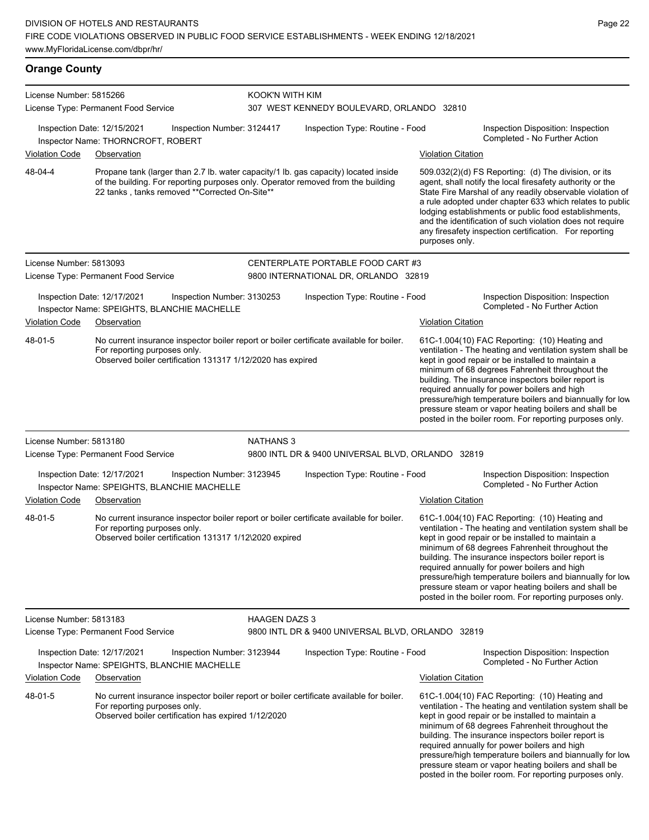**Orange County** License Number: 5815266 License Type: Permanent Food Service KOOK'N WITH KIM 307 WEST KENNEDY BOULEVARD, ORLANDO 32810 Inspection Date: 12/15/2021 Inspection Number: 3124417 Inspection Type: Routine - Food Inspection Disposition: Inspection Completed - No Further Action Inspector Name: THORNCROFT, ROBERT Violation Code Observation Violation Citation Propane tank (larger than 2.7 lb. water capacity/1 lb. gas capacity) located inside of the building. For reporting purposes only. Operator removed from the building 22 tanks , tanks removed \*\*Corrected On-Site\*\* 509.032(2)(d) FS Reporting: (d) The division, or its agent, shall notify the local firesafety authority or the State Fire Marshal of any readily observable violation of a rule adopted under chapter 633 which relates to public lodging establishments or public food establishments, and the identification of such violation does not require any firesafety inspection certification. For reporting purposes only. 48-04-4 License Number: 5813093 License Type: Permanent Food Service CENTERPLATE PORTABLE FOOD CART #3 9800 INTERNATIONAL DR, ORLANDO 32819 Inspection Date: 12/17/2021 Inspection Number: 3130253 Inspection Type: Routine - Food Inspection Disposition: Inspection Inspector Name: SPEIGHTS, BLANCHIE MACHELLE<br> **Inspector Name: SPEIGHTS, BLANCHIE MACHELLE** Violation Code Observation Violation Citation No current insurance inspector boiler report or boiler certificate available for boiler. For reporting purposes only. Observed boiler certification 131317 1/12/2020 has expired 61C-1.004(10) FAC Reporting: (10) Heating and ventilation - The heating and ventilation system shall be kept in good repair or be installed to maintain a minimum of 68 degrees Fahrenheit throughout the building. The insurance inspectors boiler report is required annually for power boilers and high pressure/high temperature boilers and biannually for low pressure steam or vapor heating boilers and shall be posted in the boiler room. For reporting purposes only. 48-01-5 License Number: 5813180 License Type: Permanent Food Service NATHANS 3 9800 INTL DR & 9400 UNIVERSAL BLVD, ORLANDO 32819 Inspection Date: 12/17/2021 Inspection Number: 3123945 Inspection Type: Routine - Food Inspection Disposition: Inspection<br>Inspector Name: SPEIGHTS, BLANCHELLE MACHELLE Inspector Name: SPEIGHTS, BLANCHIE MACHELLE Violation Code Observation Violation Citation No current insurance inspector boiler report or boiler certificate available for boiler. For reporting purposes only. Observed boiler certification 131317 1/12\2020 expired 61C-1.004(10) FAC Reporting: (10) Heating and ventilation - The heating and ventilation system shall be kept in good repair or be installed to maintain a minimum of 68 degrees Fahrenheit throughout the building. The insurance inspectors boiler report is required annually for power boilers and high pressure/high temperature boilers and biannually for low pressure steam or vapor heating boilers and shall be posted in the boiler room. For reporting purposes only. 48-01-5 License Number: 5813183 License Type: Permanent Food Service HAAGEN DAZS 3 9800 INTL DR & 9400 UNIVERSAL BLVD, ORLANDO 32819 Inspection Date: 12/17/2021 Inspection Number: 3123944 Inspection Type: Routine - Food Inspection Disposition: Inspection<br>Inspector Name: SPEICHTS, BLANCHELLE MACHELLE Inspector Name: SPEIGHTS, BLANCHIE MACHELLE Violation Code Observation Violation Citation No current insurance inspector boiler report or boiler certificate available for boiler. For reporting purposes only. Observed boiler certification has expired 1/12/2020 61C-1.004(10) FAC Reporting: (10) Heating and ventilation - The heating and ventilation system shall be kept in good repair or be installed to maintain a minimum of 68 degrees Fahrenheit throughout the 48-01-5

building. The insurance inspectors boiler report is required annually for power boilers and high pressure/high temperature boilers and biannually for low pressure steam or vapor heating boilers and shall be posted in the boiler room. For reporting purposes only.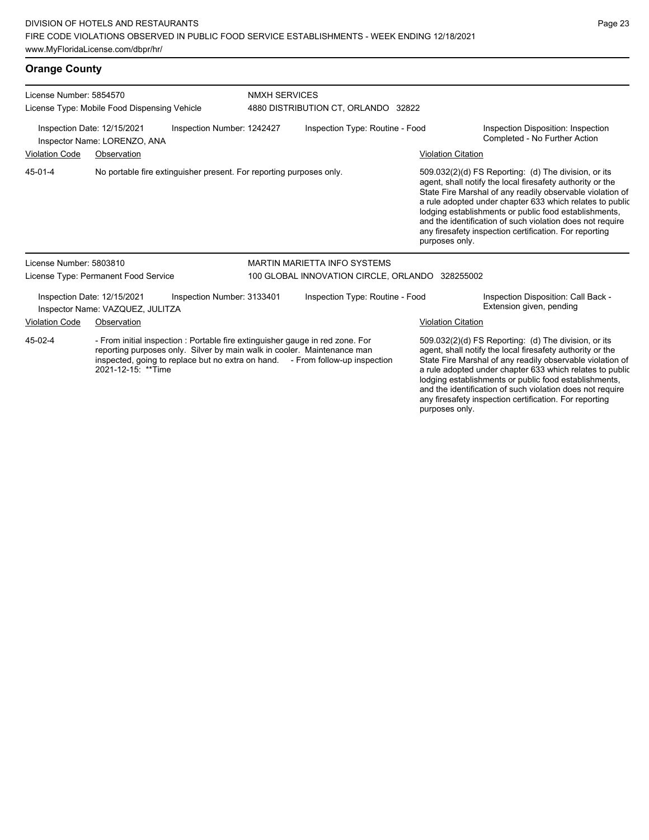# **Orange County**

| License Number: 5854570<br>License Type: Mobile Food Dispensing Vehicle |                                                                 | <b>NMXH SERVICES</b><br>4880 DISTRIBUTION CT, ORLANDO 32822         |                                                                                                                                                                                                                                           |                           |                                                                                                                                                                                                                                                                                                                                                                                                                            |  |
|-------------------------------------------------------------------------|-----------------------------------------------------------------|---------------------------------------------------------------------|-------------------------------------------------------------------------------------------------------------------------------------------------------------------------------------------------------------------------------------------|---------------------------|----------------------------------------------------------------------------------------------------------------------------------------------------------------------------------------------------------------------------------------------------------------------------------------------------------------------------------------------------------------------------------------------------------------------------|--|
|                                                                         | Inspection Date: 12/15/2021<br>Inspector Name: LORENZO, ANA     | Inspection Number: 1242427                                          | Inspection Type: Routine - Food                                                                                                                                                                                                           |                           | Inspection Disposition: Inspection<br>Completed - No Further Action                                                                                                                                                                                                                                                                                                                                                        |  |
| <b>Violation Code</b>                                                   | Observation                                                     |                                                                     |                                                                                                                                                                                                                                           | <b>Violation Citation</b> |                                                                                                                                                                                                                                                                                                                                                                                                                            |  |
| 45-01-4                                                                 |                                                                 | No portable fire extinguisher present. For reporting purposes only. |                                                                                                                                                                                                                                           | purposes only.            | 509.032(2)(d) FS Reporting: (d) The division, or its<br>agent, shall notify the local firesafety authority or the<br>State Fire Marshal of any readily observable violation of<br>a rule adopted under chapter 633 which relates to public<br>lodging establishments or public food establishments,<br>and the identification of such violation does not require<br>any firesafety inspection certification. For reporting |  |
| License Number: 5803810                                                 |                                                                 |                                                                     | MARTIN MARIETTA INFO SYSTEMS                                                                                                                                                                                                              |                           |                                                                                                                                                                                                                                                                                                                                                                                                                            |  |
|                                                                         | License Type: Permanent Food Service                            |                                                                     | 100 GLOBAL INNOVATION CIRCLE, ORLANDO 328255002                                                                                                                                                                                           |                           |                                                                                                                                                                                                                                                                                                                                                                                                                            |  |
|                                                                         | Inspection Date: 12/15/2021<br>Inspector Name: VAZQUEZ, JULITZA | Inspection Number: 3133401                                          | Inspection Type: Routine - Food                                                                                                                                                                                                           |                           | Inspection Disposition: Call Back -<br>Extension given, pending                                                                                                                                                                                                                                                                                                                                                            |  |
| <b>Violation Code</b>                                                   | Observation                                                     |                                                                     |                                                                                                                                                                                                                                           | <b>Violation Citation</b> |                                                                                                                                                                                                                                                                                                                                                                                                                            |  |
| 45-02-4                                                                 | 2021-12-15: **Time                                              |                                                                     | - From initial inspection : Portable fire extinguisher gauge in red zone. For<br>reporting purposes only. Silver by main walk in cooler. Maintenance man<br>inspected, going to replace but no extra on hand. - From follow-up inspection |                           | 509.032(2)(d) FS Reporting: (d) The division, or its<br>agent, shall notify the local firesafety authority or the<br>State Fire Marshal of any readily observable violation of<br>a rule adopted under chapter 633 which relates to public<br>lodging establishments or public food establishments,<br>and the identification of such violation does not require                                                           |  |

any firesafety inspection certification. For reporting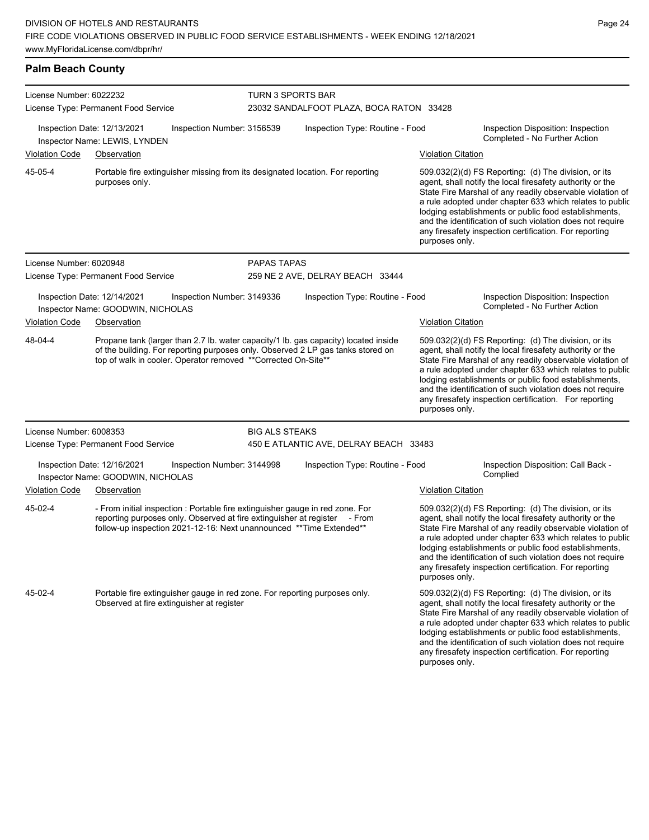Portable fire extinguisher gauge in red zone. For reporting purposes only.

Observed at fire extinguisher at register

45-02-4

**Palm Beach County**

License Number: 6022232 License Type: Permanent Food Service TURN 3 SPORTS BAR 23032 SANDALFOOT PLAZA, BOCA RATON 33428 Inspection Date: 12/13/2021 Inspection Number: 3156539 Inspection Type: Routine - Food Inspection Disposition: Inspection Completed - No Further Action Inspector Name: LEWIS, LYNDEN Violation Code Observation Violation Citation Portable fire extinguisher missing from its designated location. For reporting purposes only. 509.032(2)(d) FS Reporting: (d) The division, or its agent, shall notify the local firesafety authority or the State Fire Marshal of any readily observable violation of a rule adopted under chapter 633 which relates to public lodging establishments or public food establishments, and the identification of such violation does not require any firesafety inspection certification. For reporting purposes only. 45-05-4 License Number: 6020948 License Type: Permanent Food Service PAPAS TAPAS 259 NE 2 AVE, DELRAY BEACH 33444 Inspection Date: 12/14/2021 Inspection Number: 3149336 Inspection Type: Routine - Food Inspection Disposition: Inspection Inspector Name: GOODWIN, NICHOLAS **Completed - No Further Action** Violation Code Observation **Violation** Violation Code Observation Propane tank (larger than 2.7 lb. water capacity/1 lb. gas capacity) located inside of the building. For reporting purposes only. Observed 2 LP gas tanks stored on top of walk in cooler. Operator removed \*\*Corrected On-Site\*\* 509.032(2)(d) FS Reporting: (d) The division, or its agent, shall notify the local firesafety authority or the State Fire Marshal of any readily observable violation of a rule adopted under chapter 633 which relates to public lodging establishments or public food establishments, and the identification of such violation does not require any firesafety inspection certification. For reporting purposes only. 48-04-4 License Number: 6008353 License Type: Permanent Food Service BIG ALS STEAKS 450 E ATLANTIC AVE, DELRAY BEACH 33483 Inspection Date: 12/16/2021 Inspection Number: 3144998 Inspection Type: Routine - Food Inspection Disposition: Call Back -<br>Inspector Name: GOODWIN NICHOLAS Inspector Name: GOODWIN, NICHOLAS Violation Code Observation Violation Citation - From initial inspection : Portable fire extinguisher gauge in red zone. For reporting purposes only. Observed at fire extinguisher at register - From follow-up inspection 2021-12-16: Next unannounced \*\*Time Extended\*\* 509.032(2)(d) FS Reporting: (d) The division, or its agent, shall notify the local firesafety authority or the State Fire Marshal of any readily observable violation of a rule adopted under chapter 633 which relates to public lodging establishments or public food establishments, and the identification of such violation does not require any firesafety inspection certification. For reporting purposes only. 45-02-4

> 509.032(2)(d) FS Reporting: (d) The division, or its agent, shall notify the local firesafety authority or the State Fire Marshal of any readily observable violation of a rule adopted under chapter 633 which relates to public lodging establishments or public food establishments, and the identification of such violation does not require any firesafety inspection certification. For reporting purposes only.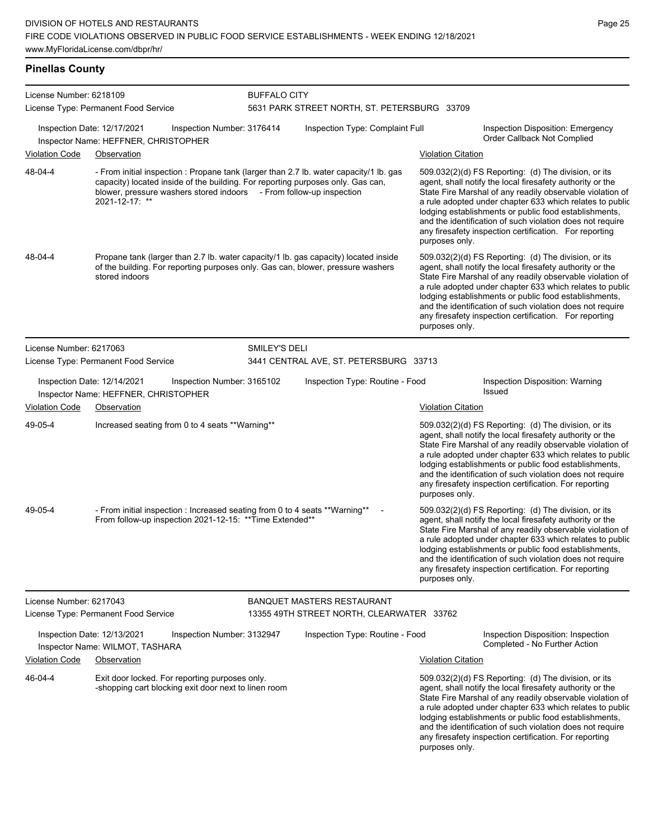## **Pinellas County**

| License Number: 6218109 |                                                                                                                                                                                                                                                                    | <b>BUFFALO CITY</b>        |                                                                                |                           |                                                                                                                                                                                                                                                                                                                                                                                                                            |
|-------------------------|--------------------------------------------------------------------------------------------------------------------------------------------------------------------------------------------------------------------------------------------------------------------|----------------------------|--------------------------------------------------------------------------------|---------------------------|----------------------------------------------------------------------------------------------------------------------------------------------------------------------------------------------------------------------------------------------------------------------------------------------------------------------------------------------------------------------------------------------------------------------------|
|                         | License Type: Permanent Food Service                                                                                                                                                                                                                               |                            | 5631 PARK STREET NORTH, ST. PETERSBURG 33709                                   |                           |                                                                                                                                                                                                                                                                                                                                                                                                                            |
|                         | Inspection Date: 12/17/2021<br>Inspector Name: HEFFNER, CHRISTOPHER                                                                                                                                                                                                | Inspection Number: 3176414 | Inspection Type: Complaint Full                                                |                           | Inspection Disposition: Emergency<br>Order Callback Not Complied                                                                                                                                                                                                                                                                                                                                                           |
| <b>Violation Code</b>   | Observation                                                                                                                                                                                                                                                        |                            |                                                                                | <b>Violation Citation</b> |                                                                                                                                                                                                                                                                                                                                                                                                                            |
| 48-04-4                 | - From initial inspection : Propane tank (larger than 2.7 lb. water capacity/1 lb. gas<br>capacity) located inside of the building. For reporting purposes only. Gas can,<br>blower, pressure washers stored indoors - From follow-up inspection<br>2021-12-17: ** |                            |                                                                                | purposes only.            | 509.032(2)(d) FS Reporting: (d) The division, or its<br>agent, shall notify the local firesafety authority or the<br>State Fire Marshal of any readily observable violation of<br>a rule adopted under chapter 633 which relates to public<br>lodging establishments or public food establishments,<br>and the identification of such violation does not require<br>any firesafety inspection certification. For reporting |
| 48-04-4                 | Propane tank (larger than 2.7 lb. water capacity/1 lb. gas capacity) located inside<br>of the building. For reporting purposes only. Gas can, blower, pressure washers<br>stored indoors                                                                           |                            |                                                                                | purposes only.            | 509.032(2)(d) FS Reporting: (d) The division, or its<br>agent, shall notify the local firesafety authority or the<br>State Fire Marshal of any readily observable violation of<br>a rule adopted under chapter 633 which relates to public<br>lodging establishments or public food establishments,<br>and the identification of such violation does not require<br>any firesafety inspection certification. For reporting |
| License Number: 6217063 |                                                                                                                                                                                                                                                                    | SMILEY'S DELI              |                                                                                |                           |                                                                                                                                                                                                                                                                                                                                                                                                                            |
|                         | License Type: Permanent Food Service                                                                                                                                                                                                                               |                            | 3441 CENTRAL AVE, ST. PETERSBURG 33713                                         |                           |                                                                                                                                                                                                                                                                                                                                                                                                                            |
| <b>Violation Code</b>   | Inspection Date: 12/14/2021<br>Inspector Name: HEFFNER, CHRISTOPHER<br>Observation                                                                                                                                                                                 | Inspection Number: 3165102 | Inspection Type: Routine - Food                                                | <b>Violation Citation</b> | Inspection Disposition: Warning<br>Issued                                                                                                                                                                                                                                                                                                                                                                                  |
|                         |                                                                                                                                                                                                                                                                    |                            |                                                                                |                           |                                                                                                                                                                                                                                                                                                                                                                                                                            |
| 49-05-4                 | Increased seating from 0 to 4 seats ** Warning**                                                                                                                                                                                                                   |                            |                                                                                | purposes only.            | 509.032(2)(d) FS Reporting: (d) The division, or its<br>agent, shall notify the local firesafety authority or the<br>State Fire Marshal of any readily observable violation of<br>a rule adopted under chapter 633 which relates to public<br>lodging establishments or public food establishments,<br>and the identification of such violation does not require<br>any firesafety inspection certification. For reporting |
| 49-05-4                 | - From initial inspection : Increased seating from 0 to 4 seats **Warning**<br>From follow-up inspection 2021-12-15: ** Time Extended**                                                                                                                            |                            |                                                                                | purposes only.            | 509.032(2)(d) FS Reporting: (d) The division, or its<br>agent, shall notify the local firesafety authority or the<br>State Fire Marshal of any readily observable violation of<br>a rule adopted under chapter 633 which relates to public<br>lodging establishments or public food establishments,<br>and the identification of such violation does not require<br>any firesafety inspection certification. For reporting |
| License Number: 6217043 | License Type: Permanent Food Service                                                                                                                                                                                                                               |                            | <b>BANQUET MASTERS RESTAURANT</b><br>13355 49TH STREET NORTH, CLEARWATER 33762 |                           |                                                                                                                                                                                                                                                                                                                                                                                                                            |
|                         | Inspection Date: 12/13/2021<br>Inspector Name: WILMOT, TASHARA                                                                                                                                                                                                     | Inspection Number: 3132947 | Inspection Type: Routine - Food                                                |                           | Inspection Disposition: Inspection<br>Completed - No Further Action                                                                                                                                                                                                                                                                                                                                                        |
| <b>Violation Code</b>   | Observation                                                                                                                                                                                                                                                        |                            |                                                                                | <b>Violation Citation</b> |                                                                                                                                                                                                                                                                                                                                                                                                                            |
| 46-04-4                 | Exit door locked. For reporting purposes only.<br>-shopping cart blocking exit door next to linen room                                                                                                                                                             |                            |                                                                                |                           | 509.032(2)(d) FS Reporting: (d) The division, or its<br>agent, shall notify the local firesafety authority or the<br>State Fire Marshal of any readily observable violation of<br>a rule adopted under chapter 633 which relates to public<br>lodging establishments or public food establishments,<br>and the identification of such violation does not require                                                           |

Page 25

any firesafety inspection certification. For reporting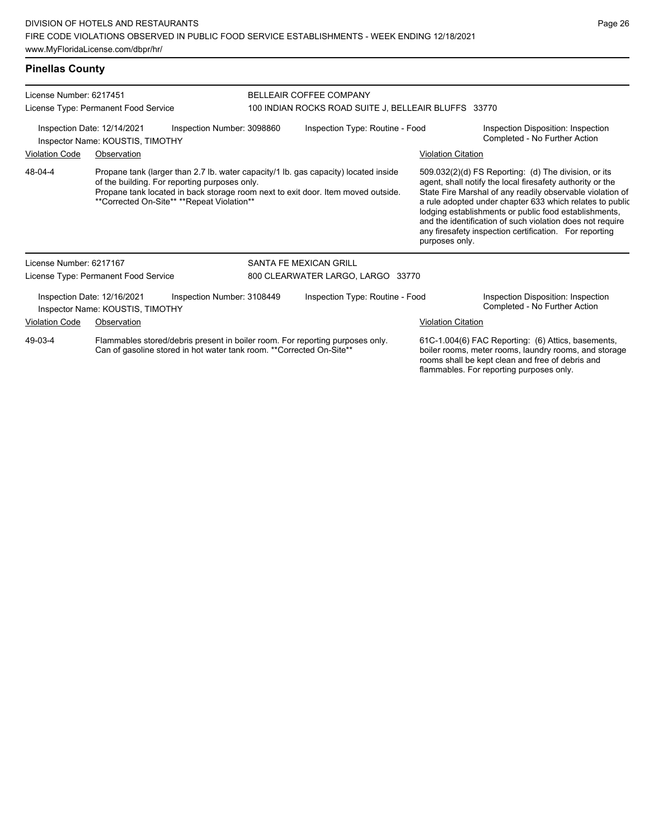**Pinellas County**

| License Number: 6217451                                                                       |                                                                                                                                                                                                                                                                        |                            | BELLEAIR COFFEE COMPANY                              |                                                                     |                                                                                                                                                                                                                                                                                                                                                                                                                            |  |  |  |
|-----------------------------------------------------------------------------------------------|------------------------------------------------------------------------------------------------------------------------------------------------------------------------------------------------------------------------------------------------------------------------|----------------------------|------------------------------------------------------|---------------------------------------------------------------------|----------------------------------------------------------------------------------------------------------------------------------------------------------------------------------------------------------------------------------------------------------------------------------------------------------------------------------------------------------------------------------------------------------------------------|--|--|--|
|                                                                                               | License Type: Permanent Food Service                                                                                                                                                                                                                                   |                            | 100 INDIAN ROCKS ROAD SUITE J, BELLEAIR BLUFFS 33770 |                                                                     |                                                                                                                                                                                                                                                                                                                                                                                                                            |  |  |  |
| Inspection Date: 12/14/2021<br>Inspection Number: 3098860<br>Inspector Name: KOUSTIS, TIMOTHY |                                                                                                                                                                                                                                                                        |                            | Inspection Type: Routine - Food                      | Inspection Disposition: Inspection<br>Completed - No Further Action |                                                                                                                                                                                                                                                                                                                                                                                                                            |  |  |  |
| <b>Violation Code</b>                                                                         | Observation                                                                                                                                                                                                                                                            |                            |                                                      | <b>Violation Citation</b>                                           |                                                                                                                                                                                                                                                                                                                                                                                                                            |  |  |  |
| 48-04-4                                                                                       | Propane tank (larger than 2.7 lb. water capacity/1 lb. gas capacity) located inside<br>of the building. For reporting purposes only.<br>Propane tank located in back storage room next to exit door. Item moved outside.<br>**Corrected On-Site** **Repeat Violation** |                            |                                                      | purposes only.                                                      | 509.032(2)(d) FS Reporting: (d) The division, or its<br>agent, shall notify the local firesafety authority or the<br>State Fire Marshal of any readily observable violation of<br>a rule adopted under chapter 633 which relates to public<br>lodging establishments or public food establishments,<br>and the identification of such violation does not require<br>any firesafety inspection certification. For reporting |  |  |  |
| License Number: 6217167                                                                       |                                                                                                                                                                                                                                                                        |                            | SANTA FE MEXICAN GRILL                               |                                                                     |                                                                                                                                                                                                                                                                                                                                                                                                                            |  |  |  |
|                                                                                               | License Type: Permanent Food Service                                                                                                                                                                                                                                   |                            | 800 CLEARWATER LARGO, LARGO 33770                    |                                                                     |                                                                                                                                                                                                                                                                                                                                                                                                                            |  |  |  |
|                                                                                               | Inspection Date: 12/16/2021<br>Inspector Name: KOUSTIS, TIMOTHY                                                                                                                                                                                                        | Inspection Number: 3108449 | Inspection Type: Routine - Food                      |                                                                     | Inspection Disposition: Inspection<br>Completed - No Further Action                                                                                                                                                                                                                                                                                                                                                        |  |  |  |
| <b>Violation Code</b>                                                                         | Observation                                                                                                                                                                                                                                                            |                            |                                                      | <b>Violation Citation</b>                                           |                                                                                                                                                                                                                                                                                                                                                                                                                            |  |  |  |
| 49-03-4                                                                                       | Flammables stored/debris present in boiler room. For reporting purposes only.<br>Can of gasoline stored in hot water tank room. ** Corrected On-Site**                                                                                                                 |                            |                                                      |                                                                     | 61C-1.004(6) FAC Reporting: (6) Attics, basements,<br>boiler rooms, meter rooms, laundry rooms, and storage<br>rooms shall be kept clean and free of debris and<br>flammables. For reporting purposes only.                                                                                                                                                                                                                |  |  |  |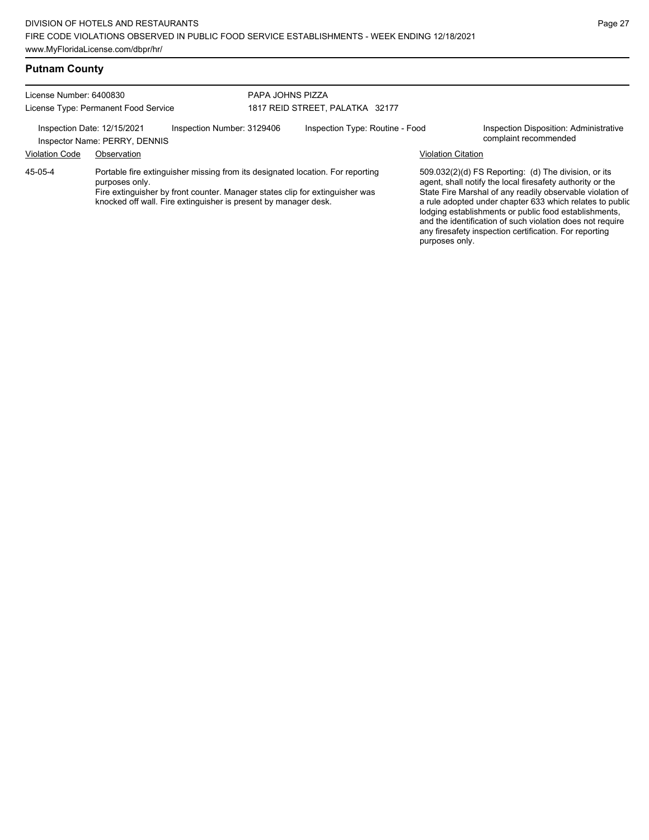### **Putnam County**

License Number: 6400830 License Type: Permanent Food Service

#### PAPA JOHNS PIZZA 1817 REID STREET, PALATKA 32177

Inspection Date: 12/15/2021 Inspection Number: 3129406 Inspection Type: Routine - Food Inspection Disposition: Administrative<br>Inspector Name: PERRY DENNIS

Inspector Name: PERRY, DENNIS

Violation Code Observation Violation Citation

45-05-4

Portable fire extinguisher missing from its designated location. For reporting purposes only.

Fire extinguisher by front counter. Manager states clip for extinguisher was knocked off wall. Fire extinguisher is present by manager desk.

509.032(2)(d) FS Reporting: (d) The division, or its agent, shall notify the local firesafety authority or the State Fire Marshal of any readily observable violation of a rule adopted under chapter 633 which relates to public lodging establishments or public food establishments, and the identification of such violation does not require any firesafety inspection certification. For reporting purposes only.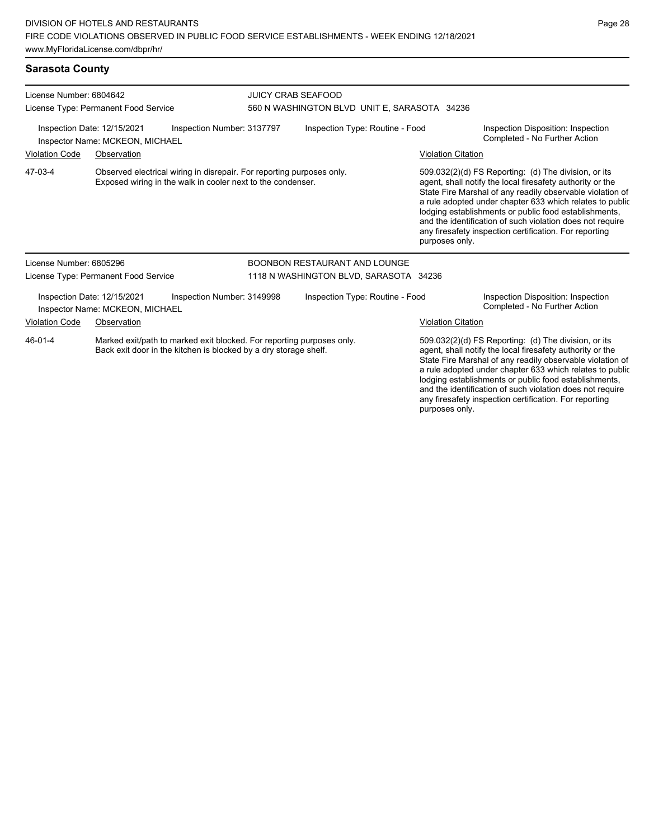# **Sarasota County**

| License Number: 6804642<br>License Type: Permanent Food Service                              |                                                                |                                                                                                                                           | <b>JUICY CRAB SEAFOOD</b><br>560 N WASHINGTON BLVD UNIT E, SARASOTA 34236 |                                        |                           |                                                                                                                                                                                                                                                                                                                                                                                                                            |  |
|----------------------------------------------------------------------------------------------|----------------------------------------------------------------|-------------------------------------------------------------------------------------------------------------------------------------------|---------------------------------------------------------------------------|----------------------------------------|---------------------------|----------------------------------------------------------------------------------------------------------------------------------------------------------------------------------------------------------------------------------------------------------------------------------------------------------------------------------------------------------------------------------------------------------------------------|--|
| Inspection Date: 12/15/2021<br>Inspection Number: 3137797<br>Inspector Name: MCKEON, MICHAEL |                                                                |                                                                                                                                           | Inspection Type: Routine - Food                                           |                                        |                           | Inspection Disposition: Inspection<br>Completed - No Further Action                                                                                                                                                                                                                                                                                                                                                        |  |
| <b>Violation Code</b>                                                                        | Observation                                                    |                                                                                                                                           |                                                                           |                                        | <b>Violation Citation</b> |                                                                                                                                                                                                                                                                                                                                                                                                                            |  |
| 47-03-4                                                                                      |                                                                | Observed electrical wiring in disrepair. For reporting purposes only.<br>Exposed wiring in the walk in cooler next to the condenser.      |                                                                           |                                        | purposes only.            | 509.032(2)(d) FS Reporting: (d) The division, or its<br>agent, shall notify the local firesafety authority or the<br>State Fire Marshal of any readily observable violation of<br>a rule adopted under chapter 633 which relates to public<br>lodging establishments or public food establishments,<br>and the identification of such violation does not require<br>any firesafety inspection certification. For reporting |  |
| License Number: 6805296                                                                      |                                                                |                                                                                                                                           |                                                                           | BOONBON RESTAURANT AND LOUNGE          |                           |                                                                                                                                                                                                                                                                                                                                                                                                                            |  |
|                                                                                              | License Type: Permanent Food Service                           |                                                                                                                                           |                                                                           | 1118 N WASHINGTON BLVD, SARASOTA 34236 |                           |                                                                                                                                                                                                                                                                                                                                                                                                                            |  |
|                                                                                              | Inspection Date: 12/15/2021<br>Inspector Name: MCKEON, MICHAEL | Inspection Number: 3149998                                                                                                                |                                                                           | Inspection Type: Routine - Food        |                           | Inspection Disposition: Inspection<br>Completed - No Further Action                                                                                                                                                                                                                                                                                                                                                        |  |
| <b>Violation Code</b>                                                                        | Observation                                                    |                                                                                                                                           |                                                                           |                                        | <b>Violation Citation</b> |                                                                                                                                                                                                                                                                                                                                                                                                                            |  |
| 46-01-4                                                                                      |                                                                | Marked exit/path to marked exit blocked. For reporting purposes only.<br>Back exit door in the kitchen is blocked by a dry storage shelf. |                                                                           |                                        |                           | 509.032(2)(d) FS Reporting: (d) The division, or its<br>agent, shall notify the local firesafety authority or the<br>State Fire Marshal of any readily observable violation of<br>a rule adopted under chapter 633 which relates to public<br>lodging establishments or public food establishments,<br>and the identification of such violation does not require                                                           |  |

any firesafety inspection certification. For reporting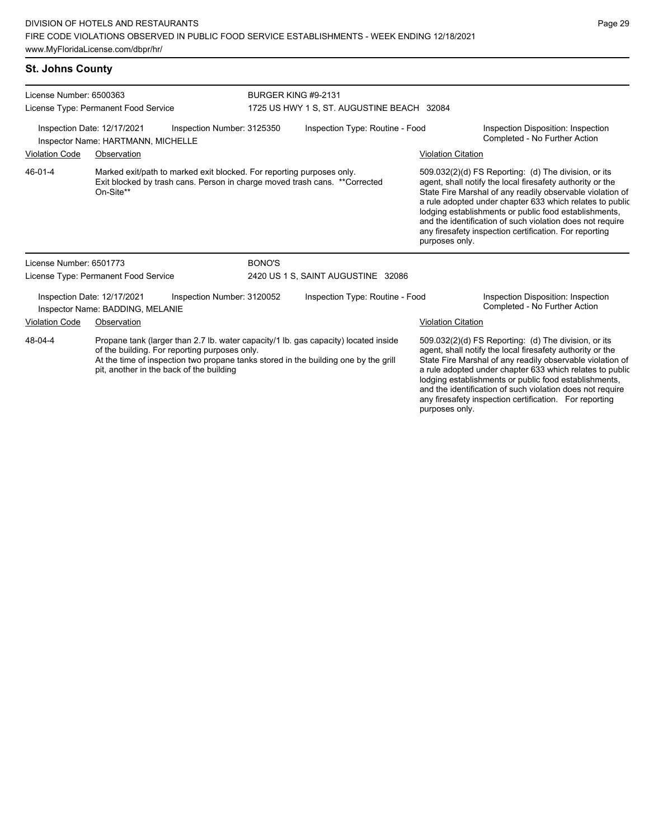## **St. Johns County**

| License Number: 6500363<br>License Type: Permanent Food Service                                        |                                                                 |                                                                       | <b>BURGER KING #9-2131</b><br>1725 US HWY 1 S, ST. AUGUSTINE BEACH 32084 |                                                                                                                                                                            |                           |                                                                                                                                                                                                                                                                                                                                                                                                                            |
|--------------------------------------------------------------------------------------------------------|-----------------------------------------------------------------|-----------------------------------------------------------------------|--------------------------------------------------------------------------|----------------------------------------------------------------------------------------------------------------------------------------------------------------------------|---------------------------|----------------------------------------------------------------------------------------------------------------------------------------------------------------------------------------------------------------------------------------------------------------------------------------------------------------------------------------------------------------------------------------------------------------------------|
| Inspection Date: 12/17/2021<br>Inspection Number: 3125350<br><b>Inspector Name: HARTMANN, MICHELLE</b> |                                                                 |                                                                       | Inspection Type: Routine - Food                                          |                                                                                                                                                                            |                           | Inspection Disposition: Inspection<br>Completed - No Further Action                                                                                                                                                                                                                                                                                                                                                        |
| <b>Violation Code</b>                                                                                  | Observation                                                     |                                                                       |                                                                          |                                                                                                                                                                            | <b>Violation Citation</b> |                                                                                                                                                                                                                                                                                                                                                                                                                            |
| 46-01-4                                                                                                | On-Site**                                                       | Marked exit/path to marked exit blocked. For reporting purposes only. |                                                                          | Exit blocked by trash cans. Person in charge moved trash cans. ** Corrected                                                                                                | purposes only.            | 509.032(2)(d) FS Reporting: (d) The division, or its<br>agent, shall notify the local firesafety authority or the<br>State Fire Marshal of any readily observable violation of<br>a rule adopted under chapter 633 which relates to public<br>lodging establishments or public food establishments,<br>and the identification of such violation does not require<br>any firesafety inspection certification. For reporting |
| License Number: 6501773                                                                                |                                                                 |                                                                       | <b>BONO'S</b>                                                            |                                                                                                                                                                            |                           |                                                                                                                                                                                                                                                                                                                                                                                                                            |
|                                                                                                        | License Type: Permanent Food Service                            |                                                                       |                                                                          | 2420 US 1 S, SAINT AUGUSTINE 32086                                                                                                                                         |                           |                                                                                                                                                                                                                                                                                                                                                                                                                            |
|                                                                                                        | Inspection Date: 12/17/2021<br>Inspector Name: BADDING, MELANIE | Inspection Number: 3120052                                            |                                                                          | Inspection Type: Routine - Food                                                                                                                                            |                           | Inspection Disposition: Inspection<br>Completed - No Further Action                                                                                                                                                                                                                                                                                                                                                        |
| <b>Violation Code</b>                                                                                  | Observation                                                     |                                                                       |                                                                          |                                                                                                                                                                            | <b>Violation Citation</b> |                                                                                                                                                                                                                                                                                                                                                                                                                            |
| 48-04-4                                                                                                | pit, another in the back of the building                        | of the building. For reporting purposes only.                         |                                                                          | Propane tank (larger than 2.7 lb. water capacity/1 lb. gas capacity) located inside<br>At the time of inspection two propane tanks stored in the building one by the grill |                           | 509.032(2)(d) FS Reporting: (d) The division, or its<br>agent, shall notify the local firesafety authority or the<br>State Fire Marshal of any readily observable violation of<br>a rule adopted under chapter 633 which relates to public<br>lodging establishments or public food establishments,<br>and the identification of such violation does not require                                                           |

any firesafety inspection certification. For reporting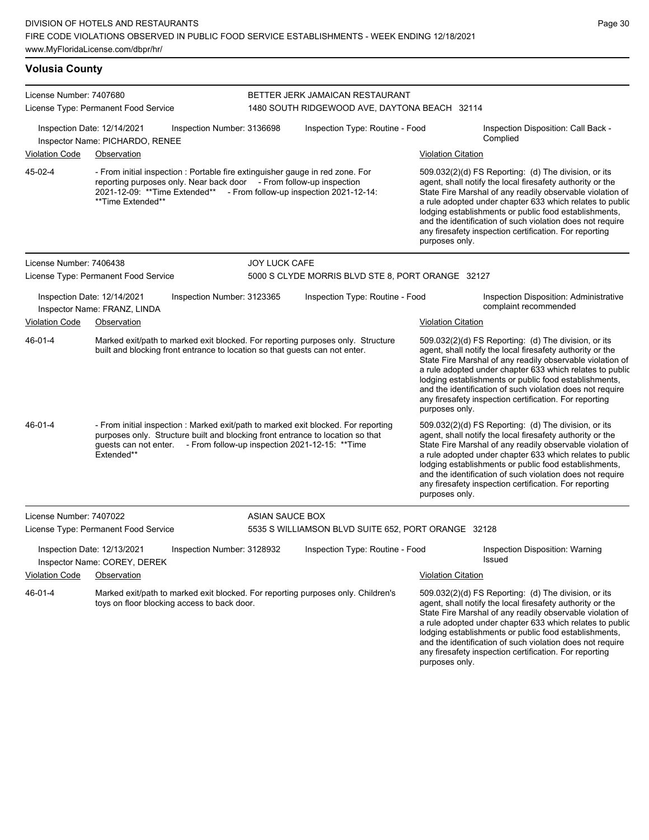## **Volusia County**

| License Number: 7407680 | License Type: Permanent Food Service                                                                                                                                                                                                                        |                            | BETTER JERK JAMAICAN RESTAURANT<br>1480 SOUTH RIDGEWOOD AVE, DAYTONA BEACH 32114 |                           |                                                                                                                                                                                                                                                                                                                                                                                                                            |  |
|-------------------------|-------------------------------------------------------------------------------------------------------------------------------------------------------------------------------------------------------------------------------------------------------------|----------------------------|----------------------------------------------------------------------------------|---------------------------|----------------------------------------------------------------------------------------------------------------------------------------------------------------------------------------------------------------------------------------------------------------------------------------------------------------------------------------------------------------------------------------------------------------------------|--|
|                         | Inspection Date: 12/14/2021<br>Inspector Name: PICHARDO, RENEE                                                                                                                                                                                              | Inspection Number: 3136698 | Inspection Type: Routine - Food                                                  |                           | Inspection Disposition: Call Back -<br>Complied                                                                                                                                                                                                                                                                                                                                                                            |  |
| Violation Code          | Observation                                                                                                                                                                                                                                                 |                            |                                                                                  | <b>Violation Citation</b> |                                                                                                                                                                                                                                                                                                                                                                                                                            |  |
| 45-02-4                 | - From initial inspection : Portable fire extinguisher gauge in red zone. For<br>reporting purposes only. Near back door - From follow-up inspection<br>2021-12-09: **Time Extended** - From follow-up inspection 2021-12-14:<br>**Time Extended**          |                            |                                                                                  | purposes only.            | 509.032(2)(d) FS Reporting: (d) The division, or its<br>agent, shall notify the local firesafety authority or the<br>State Fire Marshal of any readily observable violation of<br>a rule adopted under chapter 633 which relates to public<br>lodging establishments or public food establishments,<br>and the identification of such violation does not require<br>any firesafety inspection certification. For reporting |  |
| License Number: 7406438 |                                                                                                                                                                                                                                                             | <b>JOY LUCK CAFE</b>       |                                                                                  |                           |                                                                                                                                                                                                                                                                                                                                                                                                                            |  |
|                         | License Type: Permanent Food Service                                                                                                                                                                                                                        |                            | 5000 S CLYDE MORRIS BLVD STE 8, PORT ORANGE 32127                                |                           |                                                                                                                                                                                                                                                                                                                                                                                                                            |  |
|                         | Inspection Date: 12/14/2021<br>Inspector Name: FRANZ, LINDA                                                                                                                                                                                                 | Inspection Number: 3123365 | Inspection Type: Routine - Food                                                  |                           | Inspection Disposition: Administrative<br>complaint recommended                                                                                                                                                                                                                                                                                                                                                            |  |
| Violation Code          | Observation                                                                                                                                                                                                                                                 |                            |                                                                                  | <b>Violation Citation</b> |                                                                                                                                                                                                                                                                                                                                                                                                                            |  |
| 46-01-4                 | Marked exit/path to marked exit blocked. For reporting purposes only. Structure<br>built and blocking front entrance to location so that guests can not enter.                                                                                              |                            |                                                                                  | purposes only.            | 509.032(2)(d) FS Reporting: (d) The division, or its<br>agent, shall notify the local firesafety authority or the<br>State Fire Marshal of any readily observable violation of<br>a rule adopted under chapter 633 which relates to public<br>lodging establishments or public food establishments,<br>and the identification of such violation does not require<br>any firesafety inspection certification. For reporting |  |
| 46-01-4                 | - From initial inspection : Marked exit/path to marked exit blocked. For reporting<br>purposes only. Structure built and blocking front entrance to location so that<br>guests can not enter. - From follow-up inspection 2021-12-15: ** Time<br>Extended** |                            |                                                                                  | purposes only.            | 509.032(2)(d) FS Reporting: (d) The division, or its<br>agent, shall notify the local firesafety authority or the<br>State Fire Marshal of any readily observable violation of<br>a rule adopted under chapter 633 which relates to public<br>lodging establishments or public food establishments,<br>and the identification of such violation does not require<br>any firesafety inspection certification. For reporting |  |
| License Number: 7407022 |                                                                                                                                                                                                                                                             | <b>ASIAN SAUCE BOX</b>     |                                                                                  |                           |                                                                                                                                                                                                                                                                                                                                                                                                                            |  |
|                         | License Type: Permanent Food Service                                                                                                                                                                                                                        |                            | 5535 S WILLIAMSON BLVD SUITE 652, PORT ORANGE 32128                              |                           |                                                                                                                                                                                                                                                                                                                                                                                                                            |  |
|                         | Inspection Date: 12/13/2021<br>Inspector Name: COREY, DEREK                                                                                                                                                                                                 | Inspection Number: 3128932 | Inspection Type: Routine - Food                                                  |                           | Inspection Disposition: Warning<br>Issued                                                                                                                                                                                                                                                                                                                                                                                  |  |
| <b>Violation Code</b>   | Observation                                                                                                                                                                                                                                                 |                            |                                                                                  | <b>Violation Citation</b> |                                                                                                                                                                                                                                                                                                                                                                                                                            |  |
| 46-01-4                 | Marked exit/path to marked exit blocked. For reporting purposes only. Children's<br>toys on floor blocking access to back door.                                                                                                                             |                            |                                                                                  |                           | 509.032(2)(d) FS Reporting: (d) The division, or its<br>agent, shall notify the local firesafety authority or the<br>State Fire Marshal of any readily observable violation of<br>a rule adopted under chapter 633 which relates to public<br>lodging establishments or public food establishments,<br>and the identification of such violation does not require<br>any firesafety inspection certification. For reporting |  |